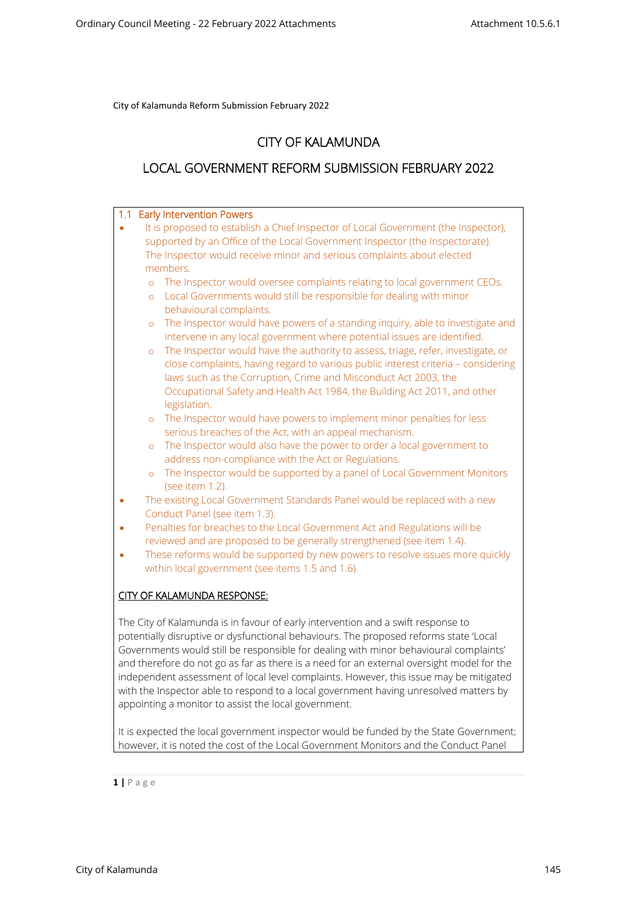# **CITY OF KALAMUNDA**

# **LOCAL GOVERNMENT REFORM SUBMISSION FEBRUARY 2022**

# **1.1 Early Intervention Powers**  It is proposed to establish a Chief Inspector of Local Government (the Inspector), supported by an Office of the Local Government Inspector (the Inspectorate). The Inspector would receive minor and serious complaints about elected members. o The Inspector would oversee complaints relating to local government CEOs. o Local Governments would still be responsible for dealing with minor behavioural complaints. o The Inspector would have powers of a standing inquiry, able to investigate and intervene in any local government where potential issues are identified. o The Inspector would have the authority to assess, triage, refer, investigate, or close complaints, having regard to various public interest criteria – considering laws such as the Corruption, Crime and Misconduct Act 2003, the Occupational Safety and Health Act 1984, the Building Act 2011, and other legislation. o The Inspector would have powers to implement minor penalties for less serious breaches of the Act, with an appeal mechanism. o The Inspector would also have the power to order a local government to address non-compliance with the Act or Regulations. o The Inspector would be supported by a panel of Local Government Monitors (see item 1.2). The existing Local Government Standards Panel would be replaced with a new Conduct Panel (see item 1.3). Penalties for breaches to the Local Government Act and Regulations will be reviewed and are proposed to be generally strengthened (see item 1.4). These reforms would be supported by new powers to resolve issues more quickly within local government (see items 1.5 and 1.6). **CITY OF KALAMUNDA RESPONSE:** The City of Kalamunda is in favour of early intervention and a swift response to potentially disruptive or dysfunctional behaviours. The proposed reforms state 'Local Governments would still be responsible for dealing with minor behavioural complaints' and therefore do not go as far as there is a need for an external oversight model for the independent assessment of local level complaints. However, this issue may be mitigated with the Inspector able to respond to a local government having unresolved matters by appointing a monitor to assist the local government.

It is expected the local government inspector would be funded by the State Government; however, it is noted the cost of the Local Government Monitors and the Conduct Panel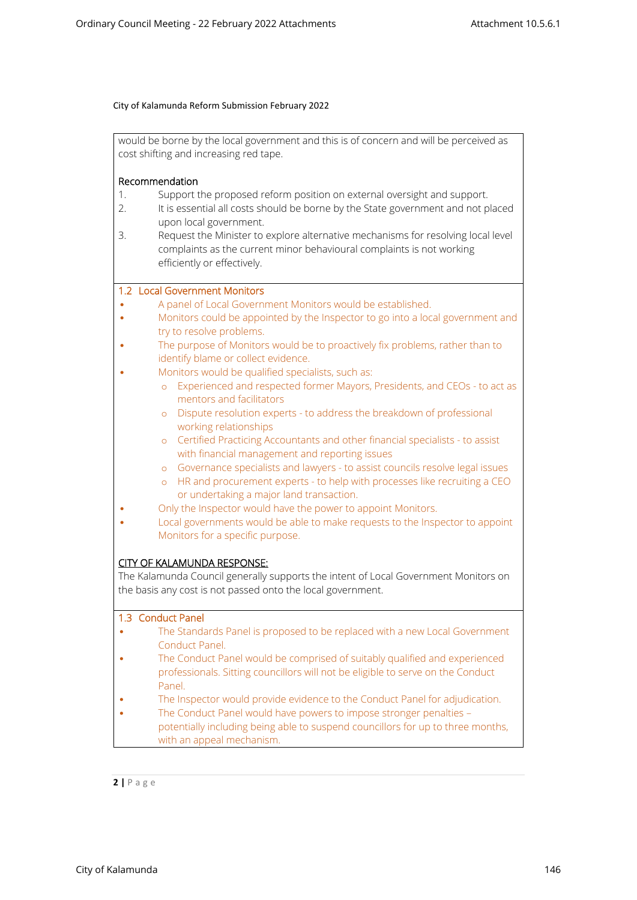would be borne by the local government and this is of concern and will be perceived as cost shifting and increasing red tape.

## **Recommendation**

- 1. Support the proposed reform position on external oversight and support.
- 2. It is essential all costs should be borne by the State government and not placed upon local government.
- 3. Request the Minister to explore alternative mechanisms for resolving local level complaints as the current minor behavioural complaints is not working efficiently or effectively.

## **1.2 Local Government Monitors**

- A panel of Local Government Monitors would be established.
- Monitors could be appointed by the Inspector to go into a local government and try to resolve problems.
- The purpose of Monitors would be to proactively fix problems, rather than to identify blame or collect evidence.
	- Monitors would be qualified specialists, such as:
		- o Experienced and respected former Mayors, Presidents, and CEOs to act as mentors and facilitators
		- o Dispute resolution experts to address the breakdown of professional working relationships
		- o Certified Practicing Accountants and other financial specialists to assist with financial management and reporting issues
		- o Governance specialists and lawyers to assist councils resolve legal issues
		- o HR and procurement experts to help with processes like recruiting a CEO or undertaking a major land transaction.
- Only the Inspector would have the power to appoint Monitors.
- Local governments would be able to make requests to the Inspector to appoint Monitors for a specific purpose.

## **CITY OF KALAMUNDA RESPONSE:**

The Kalamunda Council generally supports the intent of Local Government Monitors on the basis any cost is not passed onto the local government.

#### **1.3 Conduct Panel**

- The Standards Panel is proposed to be replaced with a new Local Government Conduct Panel.
- The Conduct Panel would be comprised of suitably qualified and experienced professionals. Sitting councillors will not be eligible to serve on the Conduct Panel.
- The Inspector would provide evidence to the Conduct Panel for adjudication.
- The Conduct Panel would have powers to impose stronger penalties potentially including being able to suspend councillors for up to three months, with an appeal mechanism.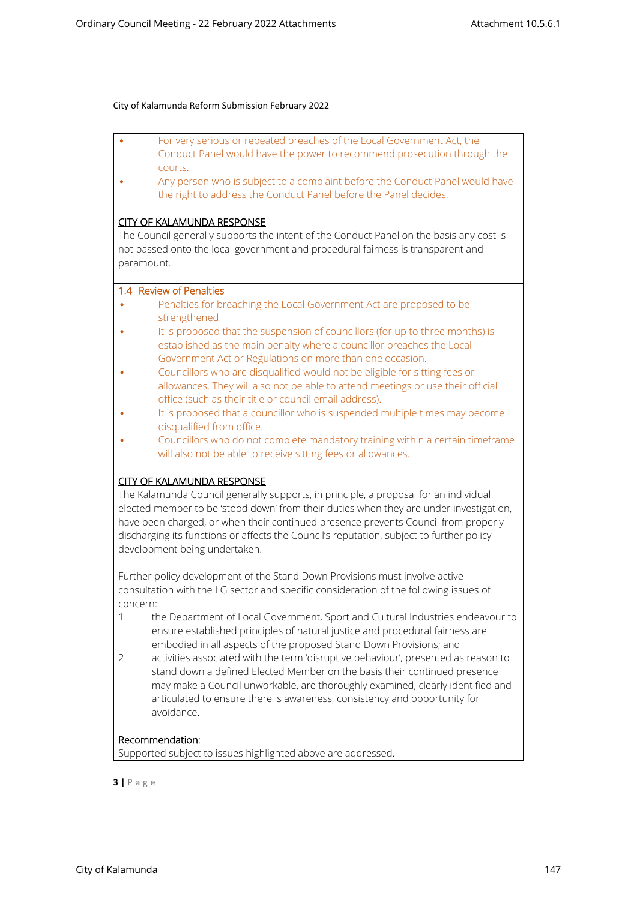- For very serious or repeated breaches of the Local Government Act, the Conduct Panel would have the power to recommend prosecution through the courts.
- Any person who is subject to a complaint before the Conduct Panel would have the right to address the Conduct Panel before the Panel decides.

## **CITY OF KALAMUNDA RESPONSE**

The Council generally supports the intent of the Conduct Panel on the basis any cost is not passed onto the local government and procedural fairness is transparent and paramount.

## **1.4 Review of Penalties**

- Penalties for breaching the Local Government Act are proposed to be strengthened.
- It is proposed that the suspension of councillors (for up to three months) is established as the main penalty where a councillor breaches the Local Government Act or Regulations on more than one occasion.
- Councillors who are disqualified would not be eligible for sitting fees or allowances. They will also not be able to attend meetings or use their official office (such as their title or council email address).
- It is proposed that a councillor who is suspended multiple times may become disqualified from office.
- Councillors who do not complete mandatory training within a certain timeframe will also not be able to receive sitting fees or allowances.

## **CITY OF KALAMUNDA RESPONSE**

The Kalamunda Council generally supports, in principle, a proposal for an individual elected member to be 'stood down' from their duties when they are under investigation, have been charged, or when their continued presence prevents Council from properly discharging its functions or affects the Council's reputation, subject to further policy development being undertaken.

Further policy development of the Stand Down Provisions must involve active consultation with the LG sector and specific consideration of the following issues of concern:

- 1. the Department of Local Government, Sport and Cultural Industries endeavour to ensure established principles of natural justice and procedural fairness are embodied in all aspects of the proposed Stand Down Provisions; and
- 2. activities associated with the term 'disruptive behaviour', presented as reason to stand down a defined Elected Member on the basis their continued presence may make a Council unworkable, are thoroughly examined, clearly identified and articulated to ensure there is awareness, consistency and opportunity for avoidance.

## **Recommendation:**

Supported subject to issues highlighted above are addressed.

$$
3 | P \text{ a g e}
$$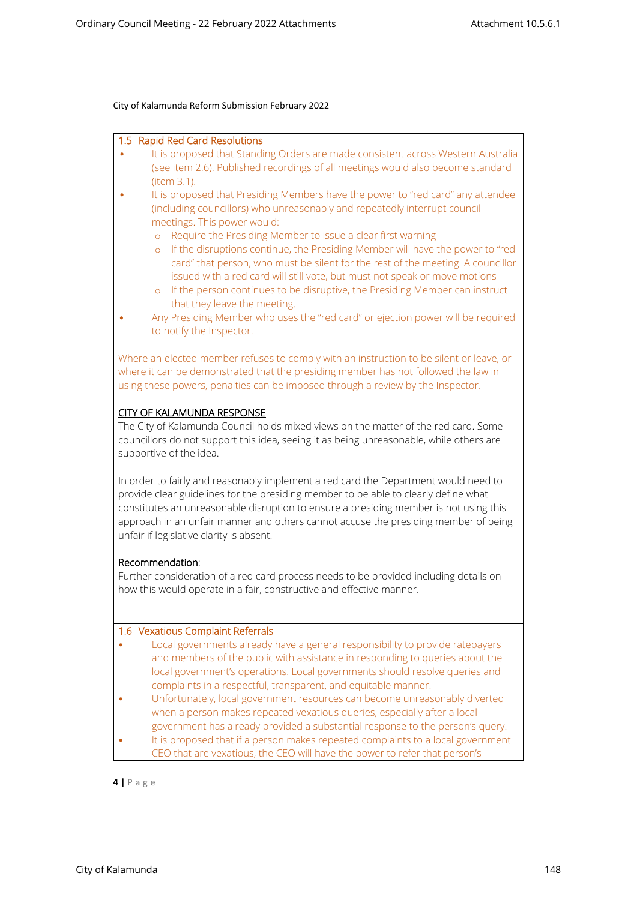#### **1.5 Rapid Red Card Resolutions**

- It is proposed that Standing Orders are made consistent across Western Australia (see item 2.6). Published recordings of all meetings would also become standard (item 3.1).
- It is proposed that Presiding Members have the power to "red card" any attendee (including councillors) who unreasonably and repeatedly interrupt council meetings. This power would:
	- o Require the Presiding Member to issue a clear first warning
	- o If the disruptions continue, the Presiding Member will have the power to "red card" that person, who must be silent for the rest of the meeting. A councillor issued with a red card will still vote, but must not speak or move motions
	- o If the person continues to be disruptive, the Presiding Member can instruct that they leave the meeting.
- Any Presiding Member who uses the "red card" or ejection power will be required to notify the Inspector.

Where an elected member refuses to comply with an instruction to be silent or leave, or where it can be demonstrated that the presiding member has not followed the law in using these powers, penalties can be imposed through a review by the Inspector.

## **CITY OF KALAMUNDA RESPONSE**

The City of Kalamunda Council holds mixed views on the matter of the red card. Some councillors do not support this idea, seeing it as being unreasonable, while others are supportive of the idea.

In order to fairly and reasonably implement a red card the Department would need to provide clear guidelines for the presiding member to be able to clearly define what constitutes an unreasonable disruption to ensure a presiding member is not using this approach in an unfair manner and others cannot accuse the presiding member of being unfair if legislative clarity is absent.

#### **Recommendation**:

Further consideration of a red card process needs to be provided including details on how this would operate in a fair, constructive and effective manner.

#### **1.6 Vexatious Complaint Referrals**

- Local governments already have a general responsibility to provide ratepayers and members of the public with assistance in responding to queries about the local government's operations. Local governments should resolve queries and complaints in a respectful, transparent, and equitable manner.
- Unfortunately, local government resources can become unreasonably diverted when a person makes repeated vexatious queries, especially after a local government has already provided a substantial response to the person's query.
- It is proposed that if a person makes repeated complaints to a local government CEO that are vexatious, the CEO will have the power to refer that person's

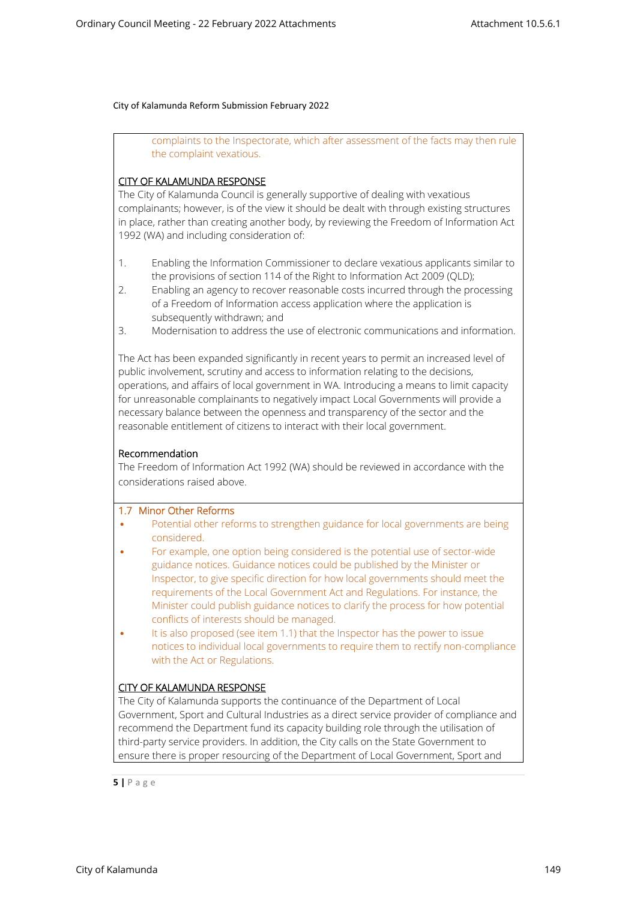complaints to the Inspectorate, which after assessment of the facts may then rule the complaint vexatious.

# **CITY OF KALAMUNDA RESPONSE**

The City of Kalamunda Council is generally supportive of dealing with vexatious complainants; however, is of the view it should be dealt with through existing structures in place, rather than creating another body, by reviewing the Freedom of Information Act 1992 (WA) and including consideration of:

- 1. Enabling the Information Commissioner to declare vexatious applicants similar to the provisions of section 114 of the Right to Information Act 2009 (QLD);
- 2. Enabling an agency to recover reasonable costs incurred through the processing of a Freedom of Information access application where the application is subsequently withdrawn; and
- 3. Modernisation to address the use of electronic communications and information.

The Act has been expanded significantly in recent years to permit an increased level of public involvement, scrutiny and access to information relating to the decisions, operations, and affairs of local government in WA. Introducing a means to limit capacity for unreasonable complainants to negatively impact Local Governments will provide a necessary balance between the openness and transparency of the sector and the reasonable entitlement of citizens to interact with their local government.

# **Recommendation**

The Freedom of Information Act 1992 (WA) should be reviewed in accordance with the considerations raised above.

## **1.7 Minor Other Reforms**

- Potential other reforms to strengthen guidance for local governments are being considered.
- For example, one option being considered is the potential use of sector-wide guidance notices. Guidance notices could be published by the Minister or Inspector, to give specific direction for how local governments should meet the requirements of the Local Government Act and Regulations. For instance, the Minister could publish guidance notices to clarify the process for how potential conflicts of interests should be managed.
- It is also proposed (see item 1.1) that the Inspector has the power to issue notices to individual local governments to require them to rectify non-compliance with the Act or Regulations.

# **CITY OF KALAMUNDA RESPONSE**

The City of Kalamunda supports the continuance of the Department of Local Government, Sport and Cultural Industries as a direct service provider of compliance and recommend the Department fund its capacity building role through the utilisation of third-party service providers. In addition, the City calls on the State Government to ensure there is proper resourcing of the Department of Local Government, Sport and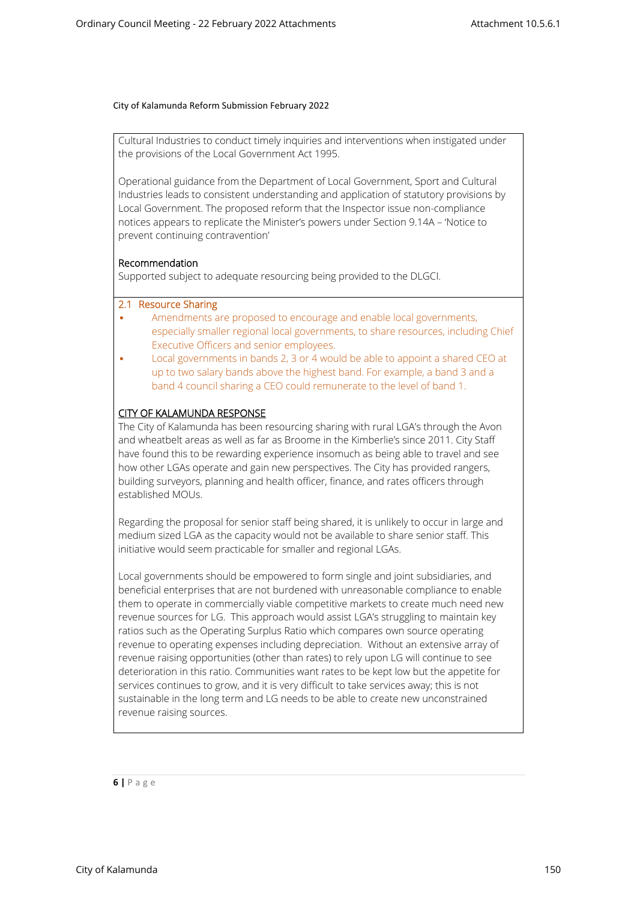Cultural Industries to conduct timely inquiries and interventions when instigated under the provisions of the Local Government Act 1995.

Operational guidance from the Department of Local Government, Sport and Cultural Industries leads to consistent understanding and application of statutory provisions by Local Government. The proposed reform that the Inspector issue non-compliance notices appears to replicate the Minister's powers under Section 9.14A – 'Notice to prevent continuing contravention'

## **Recommendation**

Supported subject to adequate resourcing being provided to the DLGCI.

## **2.1 Resource Sharing**

- Amendments are proposed to encourage and enable local governments, especially smaller regional local governments, to share resources, including Chief Executive Officers and senior employees.
- Local governments in bands 2, 3 or 4 would be able to appoint a shared CEO at up to two salary bands above the highest band. For example, a band 3 and a band 4 council sharing a CEO could remunerate to the level of band 1.

## **CITY OF KALAMUNDA RESPONSE**

The City of Kalamunda has been resourcing sharing with rural LGA's through the Avon and wheatbelt areas as well as far as Broome in the Kimberlie's since 2011. City Staff have found this to be rewarding experience insomuch as being able to travel and see how other LGAs operate and gain new perspectives. The City has provided rangers, building surveyors, planning and health officer, finance, and rates officers through established MOUs.

Regarding the proposal for senior staff being shared, it is unlikely to occur in large and medium sized LGA as the capacity would not be available to share senior staff. This initiative would seem practicable for smaller and regional LGAs.

Local governments should be empowered to form single and joint subsidiaries, and beneficial enterprises that are not burdened with unreasonable compliance to enable them to operate in commercially viable competitive markets to create much need new revenue sources for LG. This approach would assist LGA's struggling to maintain key ratios such as the Operating Surplus Ratio which compares own source operating revenue to operating expenses including depreciation. Without an extensive array of revenue raising opportunities (other than rates) to rely upon LG will continue to see deterioration in this ratio. Communities want rates to be kept low but the appetite for services continues to grow, and it is very difficult to take services away; this is not sustainable in the long term and LG needs to be able to create new unconstrained revenue raising sources.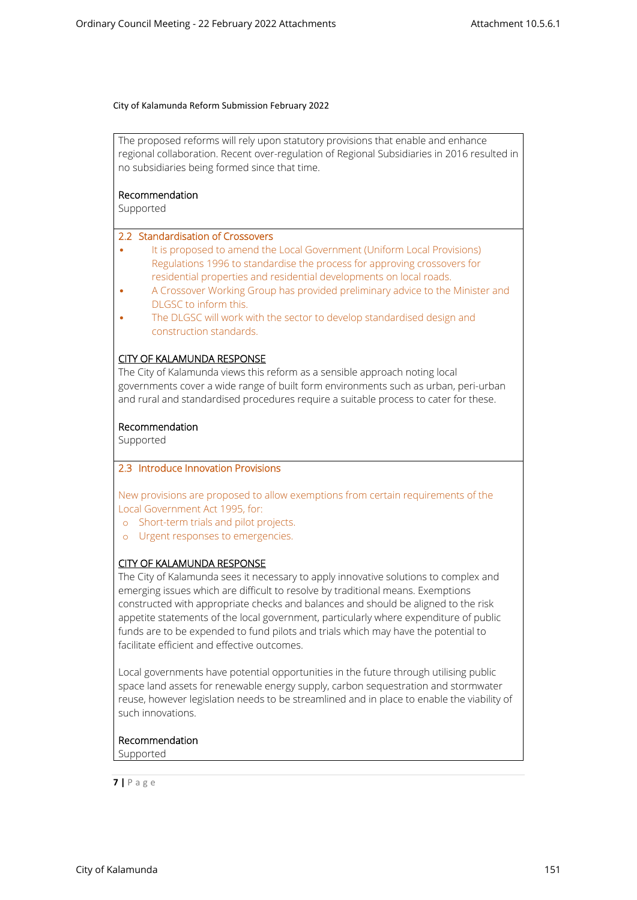The proposed reforms will rely upon statutory provisions that enable and enhance regional collaboration. Recent over-regulation of Regional Subsidiaries in 2016 resulted in no subsidiaries being formed since that time.

**Recommendation**

Supported

## **2.2 Standardisation of Crossovers**

- It is proposed to amend the Local Government (Uniform Local Provisions) Regulations 1996 to standardise the process for approving crossovers for residential properties and residential developments on local roads.
- A Crossover Working Group has provided preliminary advice to the Minister and DLGSC to inform this.
- The DLGSC will work with the sector to develop standardised design and construction standards.

## **CITY OF KALAMUNDA RESPONSE**

The City of Kalamunda views this reform as a sensible approach noting local governments cover a wide range of built form environments such as urban, peri-urban and rural and standardised procedures require a suitable process to cater for these.

## **Recommendation**

Supported

## **2.3 Introduce Innovation Provisions**

New provisions are proposed to allow exemptions from certain requirements of the Local Government Act 1995, for:

- o Short-term trials and pilot projects.
- o Urgent responses to emergencies.

## **CITY OF KALAMUNDA RESPONSE**

The City of Kalamunda sees it necessary to apply innovative solutions to complex and emerging issues which are difficult to resolve by traditional means. Exemptions constructed with appropriate checks and balances and should be aligned to the risk appetite statements of the local government, particularly where expenditure of public funds are to be expended to fund pilots and trials which may have the potential to facilitate efficient and effective outcomes.

Local governments have potential opportunities in the future through utilising public space land assets for renewable energy supply, carbon sequestration and stormwater reuse, however legislation needs to be streamlined and in place to enable the viability of such innovations.

## **Recommendation**

Supported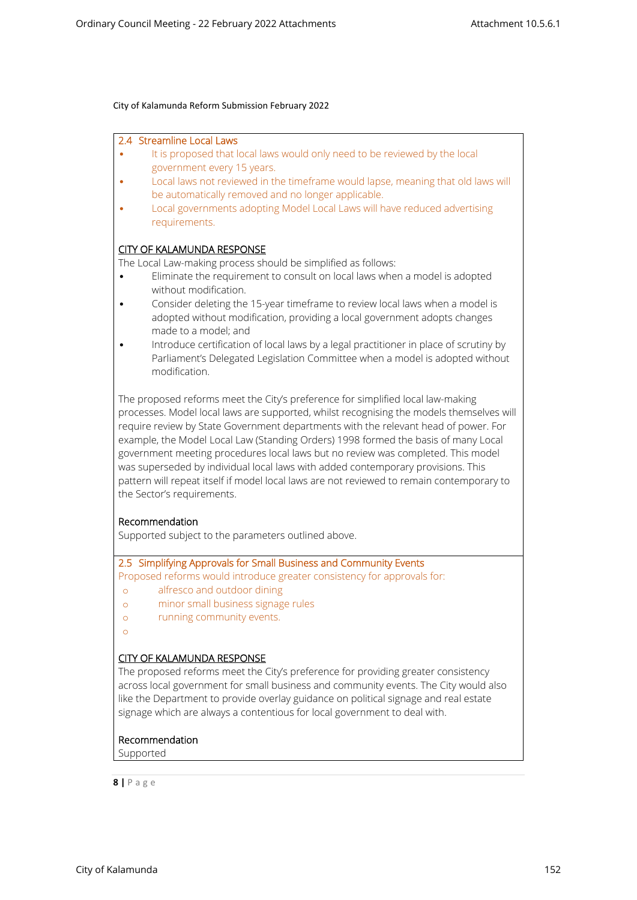#### **2.4 Streamline Local Laws**

- It is proposed that local laws would only need to be reviewed by the local government every 15 years.
- Local laws not reviewed in the timeframe would lapse, meaning that old laws will be automatically removed and no longer applicable.
- Local governments adopting Model Local Laws will have reduced advertising requirements.

## **CITY OF KALAMUNDA RESPONSE**

The Local Law-making process should be simplified as follows:

- Eliminate the requirement to consult on local laws when a model is adopted without modification.
- Consider deleting the 15-year timeframe to review local laws when a model is adopted without modification, providing a local government adopts changes made to a model; and
- Introduce certification of local laws by a legal practitioner in place of scrutiny by Parliament's Delegated Legislation Committee when a model is adopted without modification.

The proposed reforms meet the City's preference for simplified local law-making processes. Model local laws are supported, whilst recognising the models themselves will require review by State Government departments with the relevant head of power. For example, the Model Local Law (Standing Orders) 1998 formed the basis of many Local government meeting procedures local laws but no review was completed. This model was superseded by individual local laws with added contemporary provisions. This pattern will repeat itself if model local laws are not reviewed to remain contemporary to the Sector's requirements.

#### **Recommendation**

Supported subject to the parameters outlined above.

# **2.5 Simplifying Approvals for Small Business and Community Events**

Proposed reforms would introduce greater consistency for approvals for:

- o alfresco and outdoor dining
- o minor small business signage rules
- o running community events.
- o

## **CITY OF KALAMUNDA RESPONSE**

The proposed reforms meet the City's preference for providing greater consistency across local government for small business and community events. The City would also like the Department to provide overlay guidance on political signage and real estate signage which are always a contentious for local government to deal with.

#### **Recommendation**

Supported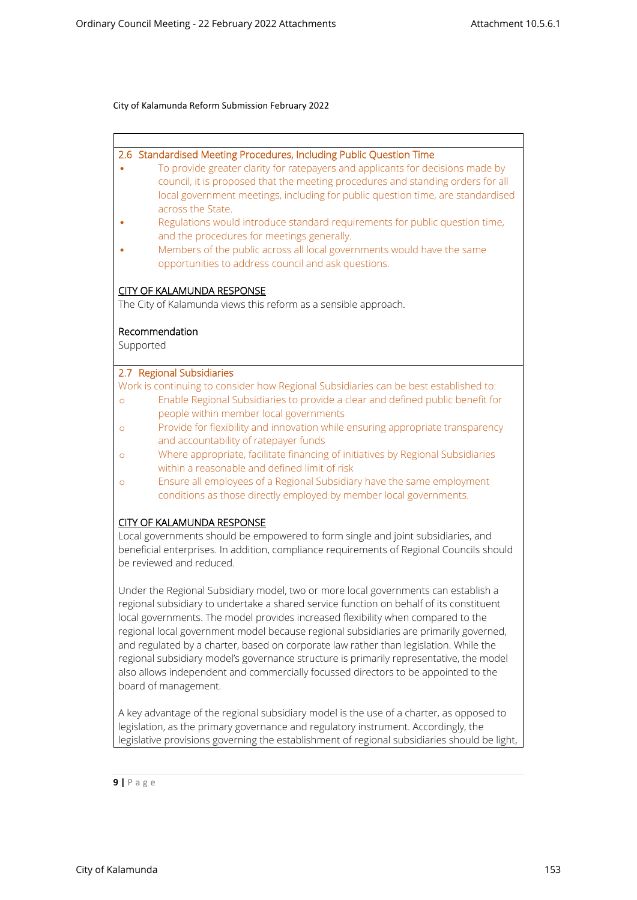## **2.6 Standardised Meeting Procedures, Including Public Question Time**

- To provide greater clarity for ratepayers and applicants for decisions made by council, it is proposed that the meeting procedures and standing orders for all local government meetings, including for public question time, are standardised across the State.
- Regulations would introduce standard requirements for public question time, and the procedures for meetings generally.
- Members of the public across all local governments would have the same opportunities to address council and ask questions.

## **CITY OF KALAMUNDA RESPONSE**

The City of Kalamunda views this reform as a sensible approach.

## **Recommendation**

Supported

#### **2.7 Regional Subsidiaries**

Work is continuing to consider how Regional Subsidiaries can be best established to:

- o Enable Regional Subsidiaries to provide a clear and defined public benefit for people within member local governments
- o Provide for flexibility and innovation while ensuring appropriate transparency and accountability of ratepayer funds
- o Where appropriate, facilitate financing of initiatives by Regional Subsidiaries within a reasonable and defined limit of risk
- o Ensure all employees of a Regional Subsidiary have the same employment conditions as those directly employed by member local governments.

#### **CITY OF KALAMUNDA RESPONSE**

Local governments should be empowered to form single and joint subsidiaries, and beneficial enterprises. In addition, compliance requirements of Regional Councils should be reviewed and reduced.

Under the Regional Subsidiary model, two or more local governments can establish a regional subsidiary to undertake a shared service function on behalf of its constituent local governments. The model provides increased flexibility when compared to the regional local government model because regional subsidiaries are primarily governed, and regulated by a charter, based on corporate law rather than legislation. While the regional subsidiary model's governance structure is primarily representative, the model also allows independent and commercially focussed directors to be appointed to the board of management.

A key advantage of the regional subsidiary model is the use of a charter, as opposed to legislation, as the primary governance and regulatory instrument. Accordingly, the legislative provisions governing the establishment of regional subsidiaries should be light,

$$
9 | P \text{ a g e}
$$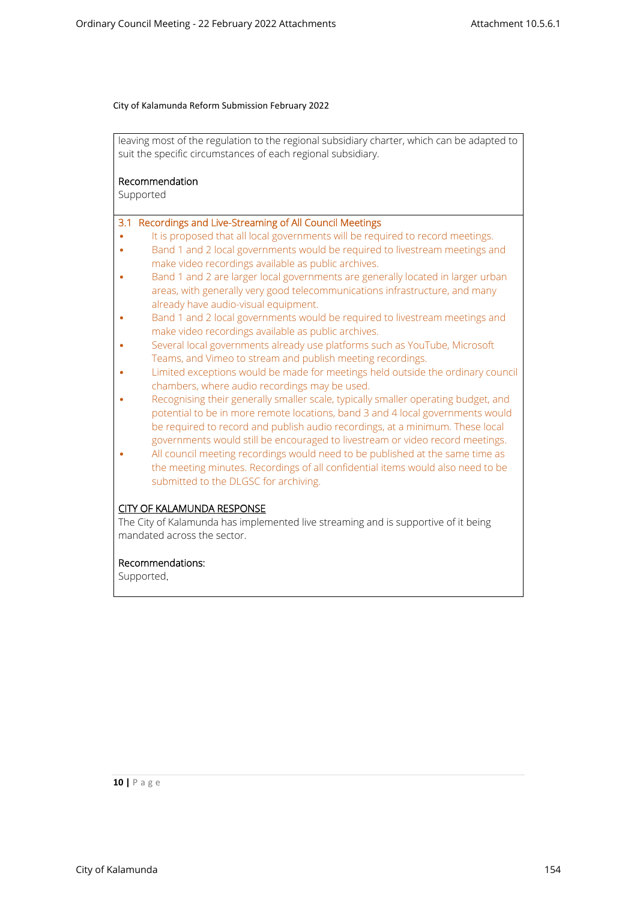leaving most of the regulation to the regional subsidiary charter, which can be adapted to suit the specific circumstances of each regional subsidiary.

## **Recommendation**

Supported

## **3.1 Recordings and Live-Streaming of All Council Meetings**

- It is proposed that all local governments will be required to record meetings.
- Band 1 and 2 local governments would be required to livestream meetings and make video recordings available as public archives.
- Band 1 and 2 are larger local governments are generally located in larger urban areas, with generally very good telecommunications infrastructure, and many already have audio-visual equipment.
- Band 1 and 2 local governments would be required to livestream meetings and make video recordings available as public archives.
- Several local governments already use platforms such as YouTube, Microsoft Teams, and Vimeo to stream and publish meeting recordings.
- Limited exceptions would be made for meetings held outside the ordinary council chambers, where audio recordings may be used.
- Recognising their generally smaller scale, typically smaller operating budget, and potential to be in more remote locations, band 3 and 4 local governments would be required to record and publish audio recordings, at a minimum. These local governments would still be encouraged to livestream or video record meetings.
- All council meeting recordings would need to be published at the same time as the meeting minutes. Recordings of all confidential items would also need to be submitted to the DLGSC for archiving.

## **CITY OF KALAMUNDA RESPONSE**

The City of Kalamunda has implemented live streaming and is supportive of it being mandated across the sector.

## **Recommendations:**

Supported**.**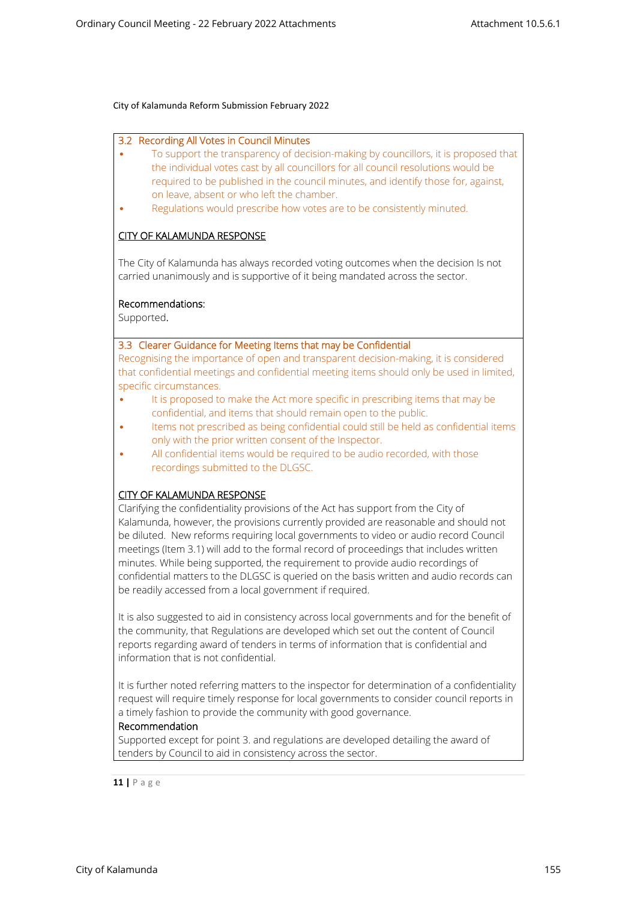#### **3.2 Recording All Votes in Council Minutes**

- To support the transparency of decision-making by councillors, it is proposed that the individual votes cast by all councillors for all council resolutions would be required to be published in the council minutes, and identify those for, against, on leave, absent or who left the chamber.
- Regulations would prescribe how votes are to be consistently minuted.

# **CITY OF KALAMUNDA RESPONSE**

The City of Kalamunda has always recorded voting outcomes when the decision Is not carried unanimously and is supportive of it being mandated across the sector.

## **Recommendations:**

Supported**.**

## **3.3 Clearer Guidance for Meeting Items that may be Confidential**

Recognising the importance of open and transparent decision-making, it is considered that confidential meetings and confidential meeting items should only be used in limited, specific circumstances.

- It is proposed to make the Act more specific in prescribing items that may be confidential, and items that should remain open to the public.
- Items not prescribed as being confidential could still be held as confidential items only with the prior written consent of the Inspector.
- All confidential items would be required to be audio recorded, with those recordings submitted to the DLGSC.

## **CITY OF KALAMUNDA RESPONSE**

Clarifying the confidentiality provisions of the Act has support from the City of Kalamunda, however, the provisions currently provided are reasonable and should not be diluted. New reforms requiring local governments to video or audio record Council meetings (Item 3.1) will add to the formal record of proceedings that includes written minutes. While being supported, the requirement to provide audio recordings of confidential matters to the DLGSC is queried on the basis written and audio records can be readily accessed from a local government if required.

It is also suggested to aid in consistency across local governments and for the benefit of the community, that Regulations are developed which set out the content of Council reports regarding award of tenders in terms of information that is confidential and information that is not confidential.

It is further noted referring matters to the inspector for determination of a confidentiality request will require timely response for local governments to consider council reports in a timely fashion to provide the community with good governance.

#### **Recommendation**

Supported except for point 3. and regulations are developed detailing the award of tenders by Council to aid in consistency across the sector.

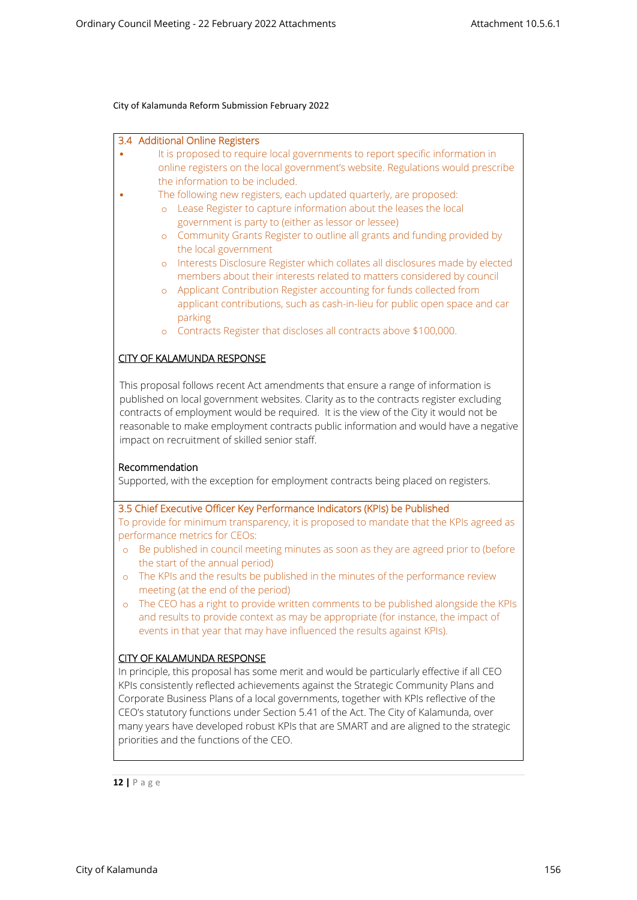|                                                                                                                                                                                                                                                                                                                                                                                                                |                | 3.4 Additional Online Registers                                                        |
|----------------------------------------------------------------------------------------------------------------------------------------------------------------------------------------------------------------------------------------------------------------------------------------------------------------------------------------------------------------------------------------------------------------|----------------|----------------------------------------------------------------------------------------|
|                                                                                                                                                                                                                                                                                                                                                                                                                |                | It is proposed to require local governments to report specific information in          |
|                                                                                                                                                                                                                                                                                                                                                                                                                |                | online registers on the local government's website. Regulations would prescribe        |
|                                                                                                                                                                                                                                                                                                                                                                                                                |                | the information to be included.                                                        |
|                                                                                                                                                                                                                                                                                                                                                                                                                |                | The following new registers, each updated quarterly, are proposed:                     |
|                                                                                                                                                                                                                                                                                                                                                                                                                | $\circ$        | Lease Register to capture information about the leases the local                       |
|                                                                                                                                                                                                                                                                                                                                                                                                                |                | government is party to (either as lessor or lessee)                                    |
|                                                                                                                                                                                                                                                                                                                                                                                                                | $\circ$        | Community Grants Register to outline all grants and funding provided by                |
|                                                                                                                                                                                                                                                                                                                                                                                                                |                | the local government                                                                   |
|                                                                                                                                                                                                                                                                                                                                                                                                                | $\circ$        | Interests Disclosure Register which collates all disclosures made by elected           |
|                                                                                                                                                                                                                                                                                                                                                                                                                |                | members about their interests related to matters considered by council                 |
|                                                                                                                                                                                                                                                                                                                                                                                                                | $\circ$        | Applicant Contribution Register accounting for funds collected from                    |
|                                                                                                                                                                                                                                                                                                                                                                                                                |                | applicant contributions, such as cash-in-lieu for public open space and car            |
|                                                                                                                                                                                                                                                                                                                                                                                                                |                | parking                                                                                |
|                                                                                                                                                                                                                                                                                                                                                                                                                | $\circ$        | Contracts Register that discloses all contracts above \$100,000.                       |
|                                                                                                                                                                                                                                                                                                                                                                                                                |                |                                                                                        |
|                                                                                                                                                                                                                                                                                                                                                                                                                |                | <b>CITY OF KALAMUNDA RESPONSE</b>                                                      |
|                                                                                                                                                                                                                                                                                                                                                                                                                |                |                                                                                        |
| This proposal follows recent Act amendments that ensure a range of information is<br>published on local government websites. Clarity as to the contracts register excluding<br>contracts of employment would be required. It is the view of the City it would not be<br>reasonable to make employment contracts public information and would have a negative<br>impact on recruitment of skilled senior staff. |                |                                                                                        |
|                                                                                                                                                                                                                                                                                                                                                                                                                |                |                                                                                        |
|                                                                                                                                                                                                                                                                                                                                                                                                                | Recommendation | Supported, with the exception for employment contracts being placed on registers.      |
|                                                                                                                                                                                                                                                                                                                                                                                                                |                |                                                                                        |
|                                                                                                                                                                                                                                                                                                                                                                                                                |                | 3.5 Chief Executive Officer Key Performance Indicators (KPIs) be Published             |
|                                                                                                                                                                                                                                                                                                                                                                                                                |                | To provide for minimum transparency, it is proposed to mandate that the KPIs agreed as |
|                                                                                                                                                                                                                                                                                                                                                                                                                |                | performance metrics for CEOs:                                                          |
|                                                                                                                                                                                                                                                                                                                                                                                                                |                | Be published in council meeting minutes as soon as they are agreed prior to (before    |
| $\circ$                                                                                                                                                                                                                                                                                                                                                                                                        |                | the start of the annual period)                                                        |
|                                                                                                                                                                                                                                                                                                                                                                                                                |                | The KPIs and the results be published in the minutes of the performance review         |
| $\circ$                                                                                                                                                                                                                                                                                                                                                                                                        |                | meeting (at the end of the period)                                                     |
|                                                                                                                                                                                                                                                                                                                                                                                                                |                |                                                                                        |
| $\circ$                                                                                                                                                                                                                                                                                                                                                                                                        |                | The CEO has a right to provide written comments to be published alongside the KPIs     |
|                                                                                                                                                                                                                                                                                                                                                                                                                |                | and results to provide context as may be appropriate (for instance, the impact of      |

# events in that year that may have influenced the results against KPIs).

## **CITY OF KALAMUNDA RESPONSE** In principle, this proposal has some merit and would be particularly effective if all CEO KPIs consistently reflected achievements against the Strategic Community Plans and Corporate Business Plans of a local governments, together with KPIs reflective of the CEO's statutory functions under Section 5.41 of the Act. The City of Kalamunda, over many years have developed robust KPIs that are SMART and are aligned to the strategic priorities and the functions of the CEO.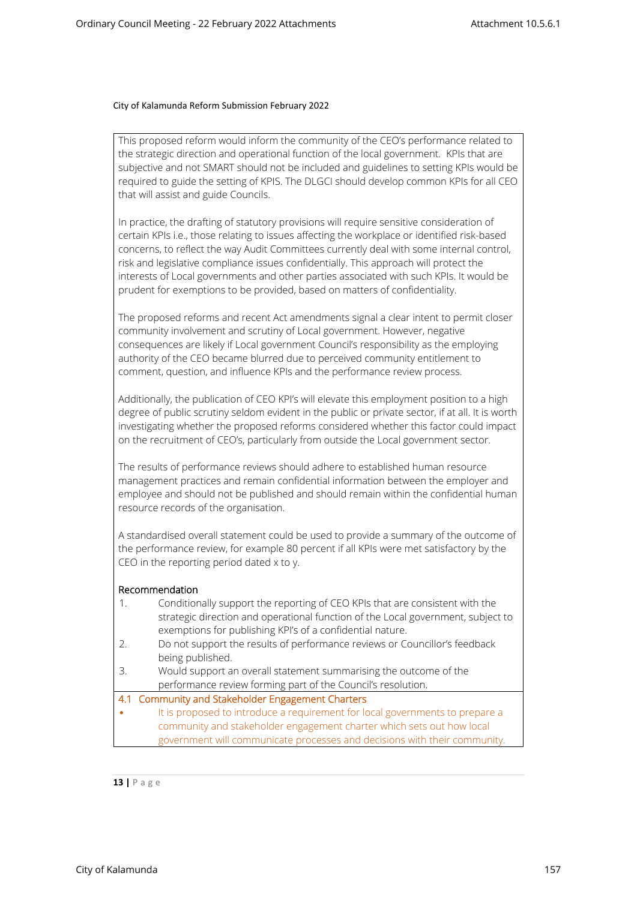This proposed reform would inform the community of the CEO's performance related to the strategic direction and operational function of the local government. KPIs that are subjective and not SMART should not be included and guidelines to setting KPIs would be required to guide the setting of KPIS. The DLGCI should develop common KPIs for all CEO that will assist and guide Councils.

In practice, the drafting of statutory provisions will require sensitive consideration of certain KPIs i.e., those relating to issues affecting the workplace or identified risk-based concerns, to reflect the way Audit Committees currently deal with some internal control, risk and legislative compliance issues confidentially. This approach will protect the interests of Local governments and other parties associated with such KPIs. It would be prudent for exemptions to be provided, based on matters of confidentiality.

The proposed reforms and recent Act amendments signal a clear intent to permit closer community involvement and scrutiny of Local government. However, negative consequences are likely if Local government Council's responsibility as the employing authority of the CEO became blurred due to perceived community entitlement to comment, question, and influence KPIs and the performance review process.

Additionally, the publication of CEO KPI's will elevate this employment position to a high degree of public scrutiny seldom evident in the public or private sector, if at all. It is worth investigating whether the proposed reforms considered whether this factor could impact on the recruitment of CEO's, particularly from outside the Local government sector.

The results of performance reviews should adhere to established human resource management practices and remain confidential information between the employer and employee and should not be published and should remain within the confidential human resource records of the organisation.

A standardised overall statement could be used to provide a summary of the outcome of the performance review, for example 80 percent if all KPIs were met satisfactory by the CEO in the reporting period dated x to y.

#### **Recommendation**

|   | Conditionally support the reporting of CEO KPIs that are consistent with the<br>strategic direction and operational function of the Local government, subject to<br>exemptions for publishing KPI's of a confidential nature. |
|---|-------------------------------------------------------------------------------------------------------------------------------------------------------------------------------------------------------------------------------|
|   | Do not support the results of performance reviews or Councillor's feedback                                                                                                                                                    |
|   | being published.                                                                                                                                                                                                              |
| Β | Would support an overall statement summarising the outcome of the                                                                                                                                                             |
|   | performance review forming part of the Council's resolution.                                                                                                                                                                  |
|   | 4.1 Community and Stakeholder Engagement Charters                                                                                                                                                                             |
|   | It is proposed to introduce a requirement for local governments to prepare a                                                                                                                                                  |
|   | community and stakeholder engagement charter which sets out how local                                                                                                                                                         |
|   | government will communicate processes and decisions with their community.                                                                                                                                                     |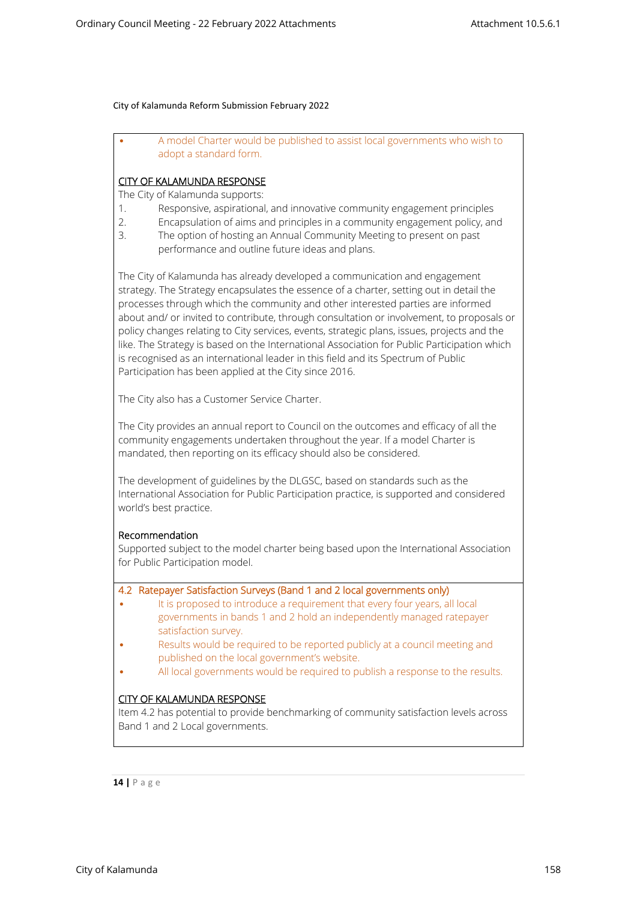• A model Charter would be published to assist local governments who wish to adopt a standard form.

## **CITY OF KALAMUNDA RESPONSE**

The City of Kalamunda supports:

- 1. Responsive, aspirational, and innovative community engagement principles
- 2. Encapsulation of aims and principles in a community engagement policy, and
- 3. The option of hosting an Annual Community Meeting to present on past performance and outline future ideas and plans.

The City of Kalamunda has already developed a communication and engagement strategy. The Strategy encapsulates the essence of a charter, setting out in detail the processes through which the community and other interested parties are informed about and/ or invited to contribute, through consultation or involvement, to proposals or policy changes relating to City services, events, strategic plans, issues, projects and the like. The Strategy is based on the International Association for Public Participation which is recognised as an international leader in this field and its Spectrum of Public Participation has been applied at the City since 2016.

The City also has a Customer Service Charter.

The City provides an annual report to Council on the outcomes and efficacy of all the community engagements undertaken throughout the year. If a model Charter is mandated, then reporting on its efficacy should also be considered.

The development of guidelines by the DLGSC, based on standards such as the International Association for Public Participation practice, is supported and considered world's best practice.

## **Recommendation**

Supported subject to the model charter being based upon the International Association for Public Participation model.

## **4.2 Ratepayer Satisfaction Surveys (Band 1 and 2 local governments only)**

- It is proposed to introduce a requirement that every four years, all local governments in bands 1 and 2 hold an independently managed ratepayer satisfaction survey.
- Results would be required to be reported publicly at a council meeting and published on the local government's website.
- All local governments would be required to publish a response to the results.

# **CITY OF KALAMUNDA RESPONSE**

Item 4.2 has potential to provide benchmarking of community satisfaction levels across Band 1 and 2 Local governments.

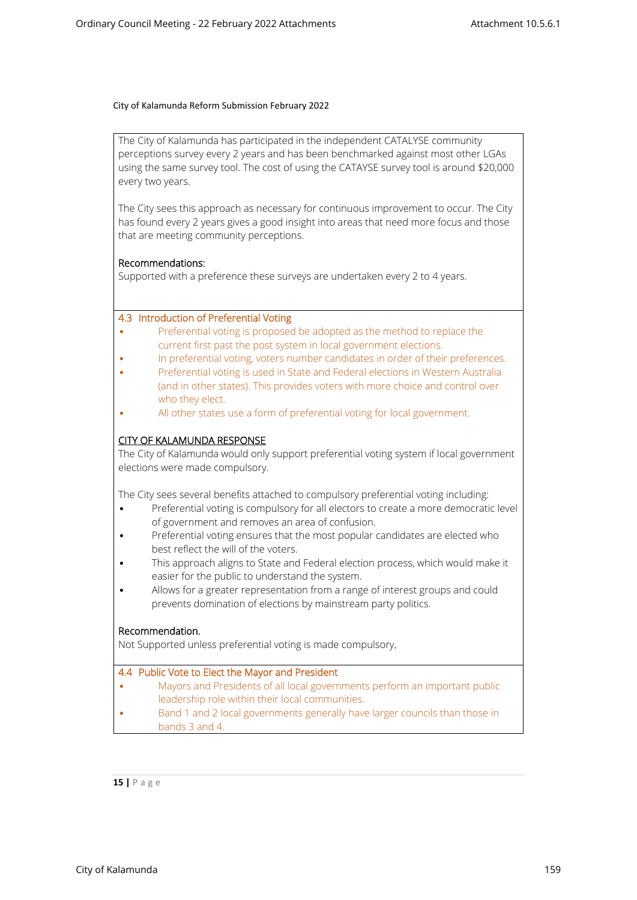The City of Kalamunda has participated in the independent CATALYSE community perceptions survey every 2 years and has been benchmarked against most other LGAs using the same survey tool. The cost of using the CATAYSE survey tool is around \$20,000 every two years.

The City sees this approach as necessary for continuous improvement to occur. The City has found every 2 years gives a good insight into areas that need more focus and those that are meeting community perceptions.

## **Recommendations:**

Supported with a preference these surveys are undertaken every 2 to 4 years.

## **4.3 Introduction of Preferential Voting**

- Preferential voting is proposed be adopted as the method to replace the current first past the post system in local government elections.
- In preferential voting, voters number candidates in order of their preferences.
- Preferential voting is used in State and Federal elections in Western Australia (and in other states). This provides voters with more choice and control over who they elect.
- All other states use a form of preferential voting for local government.

## **CITY OF KALAMUNDA RESPONSE**

The City of Kalamunda would only support preferential voting system if local government elections were made compulsory.

The City sees several benefits attached to compulsory preferential voting including:

- Preferential voting is compulsory for all electors to create a more democratic level of government and removes an area of confusion.
- Preferential voting ensures that the most popular candidates are elected who best reflect the will of the voters.
- This approach aligns to State and Federal election process, which would make it easier for the public to understand the system.
- Allows for a greater representation from a range of interest groups and could prevents domination of elections by mainstream party politics.

## **Recommendation.**

Not Supported unless preferential voting is made compulsory**.**

#### **4.4 Public Vote to Elect the Mayor and President**

- Mayors and Presidents of all local governments perform an important public leadership role within their local communities.
- Band 1 and 2 local governments generally have larger councils than those in bands 3 and 4.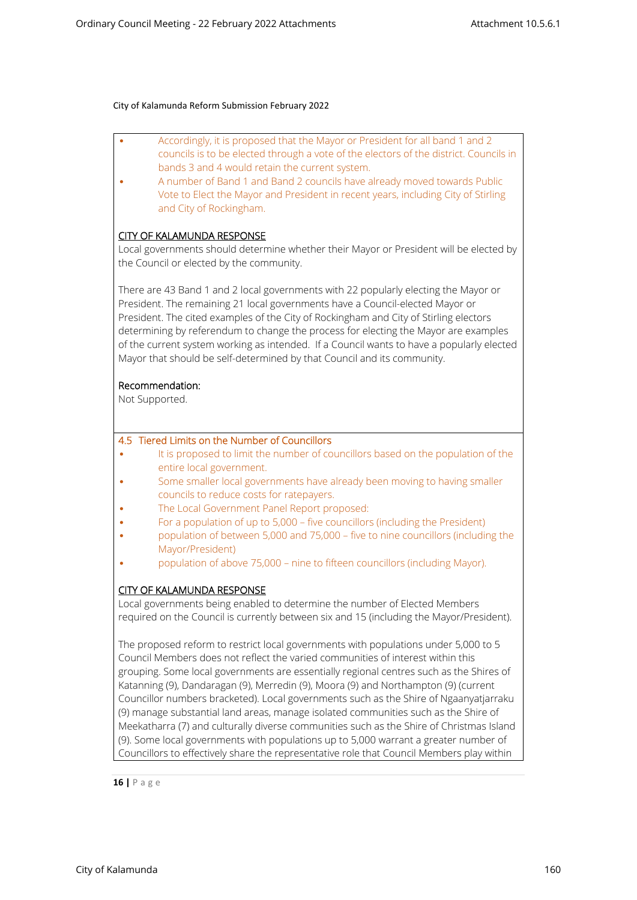| Accordingly, it is proposed that the Mayor or President for all band 1 and 2<br>councils is to be elected through a vote of the electors of the district. Councils in            |
|----------------------------------------------------------------------------------------------------------------------------------------------------------------------------------|
| bands 3 and 4 would retain the current system.                                                                                                                                   |
| A number of Band 1 and Band 2 councils have already moved towards Public<br>Vote to Elect the Mayor and President in recent years, including City of Stirling                    |
| and City of Rockingham.                                                                                                                                                          |
|                                                                                                                                                                                  |
| <b>CITY OF KALAMUNDA RESPONSE</b>                                                                                                                                                |
| Local governments should determine whether their Mayor or President will be elected by                                                                                           |
| the Council or elected by the community.                                                                                                                                         |
|                                                                                                                                                                                  |
| There are 43 Band 1 and 2 local governments with 22 popularly electing the Mayor or                                                                                              |
| President. The remaining 21 local governments have a Council-elected Mayor or                                                                                                    |
| President. The cited examples of the City of Rockingham and City of Stirling electors                                                                                            |
| determining by referendum to change the process for electing the Mayor are examples<br>of the current system working as intended. If a Council wants to have a popularly elected |
| Mayor that should be self-determined by that Council and its community.                                                                                                          |
|                                                                                                                                                                                  |
| Recommendation:                                                                                                                                                                  |
| Not Supported.                                                                                                                                                                   |
|                                                                                                                                                                                  |
|                                                                                                                                                                                  |
| 4.5 Tiered Limits on the Number of Councillors                                                                                                                                   |
| It is proposed to limit the number of councillors based on the population of the<br>entire local government.                                                                     |
| Some smaller local governments have already been moving to having smaller                                                                                                        |
| councils to reduce costs for ratepayers.                                                                                                                                         |
| The Local Government Panel Report proposed:                                                                                                                                      |
| For a population of up to 5,000 - five councillors (including the President)                                                                                                     |
| population of between 5,000 and 75,000 - five to nine councillors (including the<br>Mayor/President)                                                                             |
| population of above 75,000 - nine to fifteen councillors (including Mayor).                                                                                                      |
|                                                                                                                                                                                  |
| <b>CITY OF KALAMUNDA RESPONSE</b>                                                                                                                                                |
| Local governments being enabled to determine the number of Elected Members                                                                                                       |
| required on the Council is currently between six and 15 (including the Mayor/President).                                                                                         |
|                                                                                                                                                                                  |
| The proposed reform to restrict local governments with populations under 5,000 to 5                                                                                              |
| Council Members does not reflect the varied communities of interest within this<br>grouping. Some local governments are essentially regional centres such as the Shires of       |
| Katanning (9), Dandaragan (9), Merredin (9), Moora (9) and Northampton (9) (current                                                                                              |
| Councillor numbers bracketed). Local governments such as the Shire of Ngaanyatjarraku                                                                                            |
| (9) manage substantial land areas, manage isolated communities such as the Shire of                                                                                              |
| Meekatharra (7) and culturally diverse communities such as the Shire of Christmas Island                                                                                         |
| (9). Some local governments with populations up to 5,000 warrant a greater number of                                                                                             |
| Councillors to effectively share the representative role that Council Members play within                                                                                        |
|                                                                                                                                                                                  |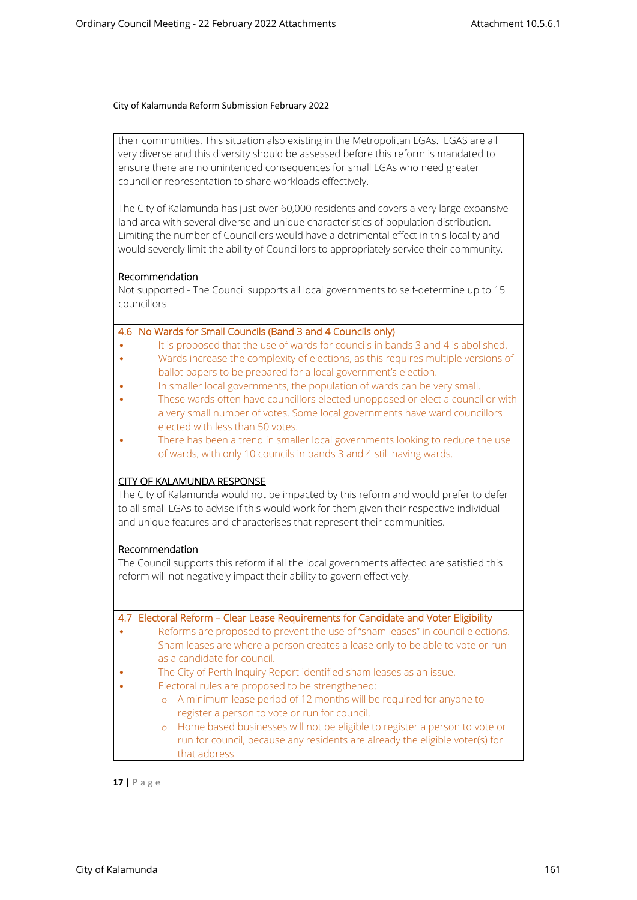their communities. This situation also existing in the Metropolitan LGAs. LGAS are all very diverse and this diversity should be assessed before this reform is mandated to ensure there are no unintended consequences for small LGAs who need greater councillor representation to share workloads effectively.

The City of Kalamunda has just over 60,000 residents and covers a very large expansive land area with several diverse and unique characteristics of population distribution. Limiting the number of Councillors would have a detrimental effect in this locality and would severely limit the ability of Councillors to appropriately service their community.

## **Recommendation**

Not supported - The Council supports all local governments to self-determine up to 15 councillors.

## **4.6 No Wards for Small Councils (Band 3 and 4 Councils only)**

- It is proposed that the use of wards for councils in bands 3 and 4 is abolished.
- Wards increase the complexity of elections, as this requires multiple versions of ballot papers to be prepared for a local government's election.
- In smaller local governments, the population of wards can be very small.
- These wards often have councillors elected unopposed or elect a councillor with a very small number of votes. Some local governments have ward councillors elected with less than 50 votes.
- There has been a trend in smaller local governments looking to reduce the use of wards, with only 10 councils in bands 3 and 4 still having wards.

## **CITY OF KALAMUNDA RESPONSE**

The City of Kalamunda would not be impacted by this reform and would prefer to defer to all small LGAs to advise if this would work for them given their respective individual and unique features and characterises that represent their communities.

## **Recommendation**

The Council supports this reform if all the local governments affected are satisfied this reform will not negatively impact their ability to govern effectively.

| 4.7 Electoral Reform - Clear Lease Requirements for Candidate and Voter Eligibility |
|-------------------------------------------------------------------------------------|
| Reforms are proposed to prevent the use of "sham leases" in council elections.      |
| Sham leases are where a person creates a lease only to be able to vote or run       |
| as a candidate for council.                                                         |
| The City of Perth Inquiry Report identified sham leases as an issue.                |
| Electoral rules are proposed to be strengthened:                                    |
| o A minimum lease period of 12 months will be required for anyone to                |
| register a person to vote or run for council.                                       |
| o Home based businesses will not be eligible to register a person to vote or        |
| run for council, because any residents are already the eligible voter(s) for        |
| that address.                                                                       |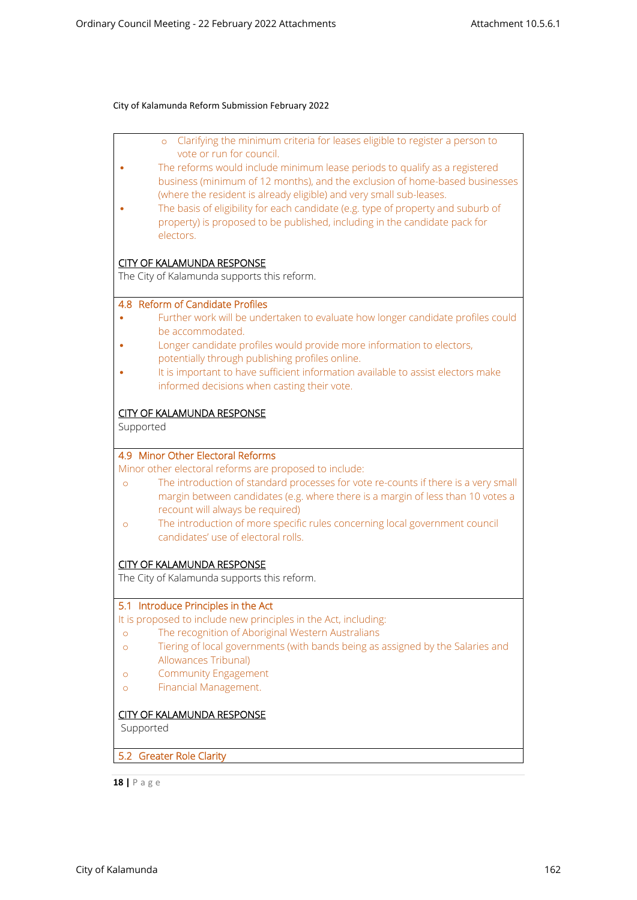| Clarifying the minimum criteria for leases eligible to register a person to<br>$\circ$<br>vote or run for council.       |
|--------------------------------------------------------------------------------------------------------------------------|
| The reforms would include minimum lease periods to qualify as a registered                                               |
| business (minimum of 12 months), and the exclusion of home-based businesses                                              |
| (where the resident is already eligible) and very small sub-leases.                                                      |
| The basis of eligibility for each candidate (e.g. type of property and suburb of                                         |
| property) is proposed to be published, including in the candidate pack for                                               |
| electors.                                                                                                                |
| <b>CITY OF KALAMUNDA RESPONSE</b>                                                                                        |
| The City of Kalamunda supports this reform.                                                                              |
| 4.8 Reform of Candidate Profiles                                                                                         |
| Further work will be undertaken to evaluate how longer candidate profiles could                                          |
| be accommodated.                                                                                                         |
| Longer candidate profiles would provide more information to electors,<br>potentially through publishing profiles online. |
| It is important to have sufficient information available to assist electors make                                         |
| informed decisions when casting their vote.                                                                              |
|                                                                                                                          |
| <b>CITY OF KALAMUNDA RESPONSE</b>                                                                                        |
| Supported                                                                                                                |
|                                                                                                                          |
| 4.9 Minor Other Electoral Reforms<br>Minor other electoral reforms are proposed to include:                              |
| The introduction of standard processes for vote re-counts if there is a very small<br>$\circ$                            |
| margin between candidates (e.g. where there is a margin of less than 10 votes a                                          |
| recount will always be required)                                                                                         |
| The introduction of more specific rules concerning local government council<br>$\circ$                                   |
| candidates' use of electoral rolls.                                                                                      |
|                                                                                                                          |
| <b>CITY OF KALAMUNDA RESPONSE</b><br>The City of Kalamunda supports this reform.                                         |
|                                                                                                                          |
| 5.1 Introduce Principles in the Act                                                                                      |
| It is proposed to include new principles in the Act, including:                                                          |
| The recognition of Aboriginal Western Australians<br>$\circ$                                                             |
| Tiering of local governments (with bands being as assigned by the Salaries and<br>O                                      |
| Allowances Tribunal)                                                                                                     |
| <b>Community Engagement</b><br>O                                                                                         |
| Financial Management.<br>$\circ$                                                                                         |
| <b>CITY OF KALAMUNDA RESPONSE</b>                                                                                        |
|                                                                                                                          |
|                                                                                                                          |
| Supported                                                                                                                |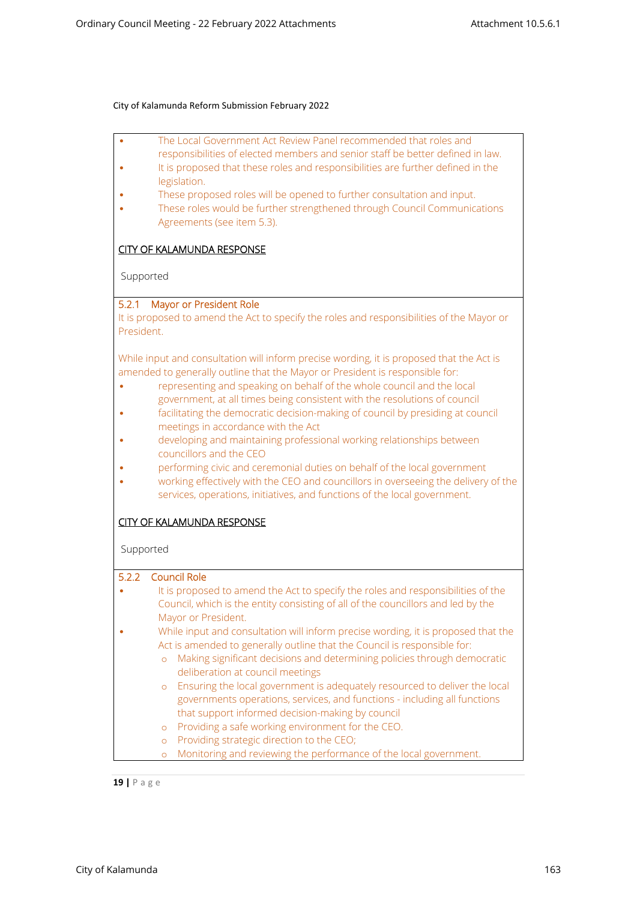| The Local Government Act Review Panel recommended that roles and                                                                                                  |  |
|-------------------------------------------------------------------------------------------------------------------------------------------------------------------|--|
| responsibilities of elected members and senior staff be better defined in law.<br>It is proposed that these roles and responsibilities are further defined in the |  |
| legislation.                                                                                                                                                      |  |
| These proposed roles will be opened to further consultation and input.                                                                                            |  |
| These roles would be further strengthened through Council Communications<br>Agreements (see item 5.3).                                                            |  |
|                                                                                                                                                                   |  |
| <b>CITY OF KALAMUNDA RESPONSE</b>                                                                                                                                 |  |
| Supported                                                                                                                                                         |  |
|                                                                                                                                                                   |  |
| 5.2.1 Mayor or President Role                                                                                                                                     |  |
| It is proposed to amend the Act to specify the roles and responsibilities of the Mayor or                                                                         |  |
| President.                                                                                                                                                        |  |
| While input and consultation will inform precise wording, it is proposed that the Act is                                                                          |  |
| amended to generally outline that the Mayor or President is responsible for:                                                                                      |  |
| representing and speaking on behalf of the whole council and the local                                                                                            |  |
| government, at all times being consistent with the resolutions of council                                                                                         |  |
| facilitating the democratic decision-making of council by presiding at council                                                                                    |  |
| meetings in accordance with the Act<br>developing and maintaining professional working relationships between                                                      |  |
| councillors and the CEO                                                                                                                                           |  |
| performing civic and ceremonial duties on behalf of the local government                                                                                          |  |
| working effectively with the CEO and councillors in overseeing the delivery of the                                                                                |  |
| services, operations, initiatives, and functions of the local government.                                                                                         |  |
| <b>CITY OF KALAMUNDA RESPONSE</b>                                                                                                                                 |  |
|                                                                                                                                                                   |  |
| Supported                                                                                                                                                         |  |
| 5.2.2<br><b>Council Role</b>                                                                                                                                      |  |
| It is proposed to amend the Act to specify the roles and responsibilities of the                                                                                  |  |
| Council, which is the entity consisting of all of the councillors and led by the                                                                                  |  |
| Mayor or President.                                                                                                                                               |  |
| While input and consultation will inform precise wording, it is proposed that the                                                                                 |  |
| Act is amended to generally outline that the Council is responsible for:                                                                                          |  |
| Making significant decisions and determining policies through democratic<br>$\circ$<br>deliberation at council meetings                                           |  |
| Ensuring the local government is adequately resourced to deliver the local<br>$\circ$                                                                             |  |
| governments operations, services, and functions - including all functions                                                                                         |  |
| that support informed decision-making by council                                                                                                                  |  |
| Providing a safe working environment for the CEO.<br>$\circ$                                                                                                      |  |
| Providing strategic direction to the CEO;<br>$\circ$                                                                                                              |  |
| Monitoring and reviewing the performance of the local government.<br>$\circ$                                                                                      |  |

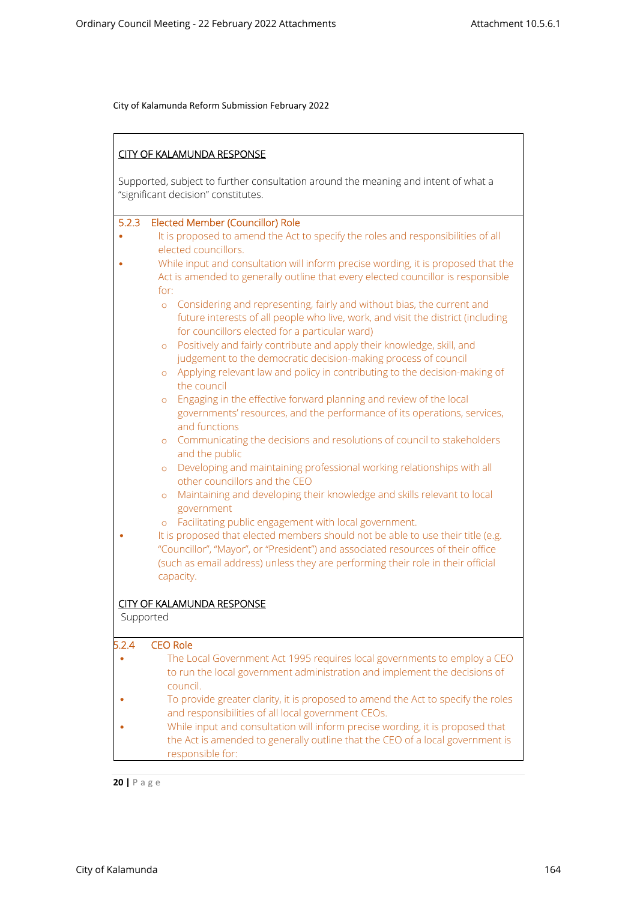|           | <b>CITY OF KALAMUNDA RESPONSE</b>                                                                                                                                                                                                                     |
|-----------|-------------------------------------------------------------------------------------------------------------------------------------------------------------------------------------------------------------------------------------------------------|
|           | Supported, subject to further consultation around the meaning and intent of what a<br>"significant decision" constitutes.                                                                                                                             |
| 5.2.3     | Elected Member (Councillor) Role                                                                                                                                                                                                                      |
|           | It is proposed to amend the Act to specify the roles and responsibilities of all<br>elected councillors.                                                                                                                                              |
|           | While input and consultation will inform precise wording, it is proposed that the<br>Act is amended to generally outline that every elected councillor is responsible                                                                                 |
|           | for:                                                                                                                                                                                                                                                  |
|           | Considering and representing, fairly and without bias, the current and<br>$\circ$<br>future interests of all people who live, work, and visit the district (including<br>for councillors elected for a particular ward)                               |
|           | Positively and fairly contribute and apply their knowledge, skill, and<br>$\circ$<br>judgement to the democratic decision-making process of council                                                                                                   |
|           | Applying relevant law and policy in contributing to the decision-making of<br>$\circ$<br>the council                                                                                                                                                  |
|           | Engaging in the effective forward planning and review of the local<br>$\circ$<br>governments' resources, and the performance of its operations, services,<br>and functions                                                                            |
|           | Communicating the decisions and resolutions of council to stakeholders<br>$\circ$<br>and the public                                                                                                                                                   |
|           | Developing and maintaining professional working relationships with all<br>$\circ$<br>other councillors and the CEO                                                                                                                                    |
|           | Maintaining and developing their knowledge and skills relevant to local<br>$\circ$<br>government                                                                                                                                                      |
|           | Facilitating public engagement with local government.<br>$\circ$                                                                                                                                                                                      |
|           | It is proposed that elected members should not be able to use their title (e.g.<br>"Councillor", "Mayor", or "President") and associated resources of their office<br>(such as email address) unless they are performing their role in their official |
|           | capacity.                                                                                                                                                                                                                                             |
|           | <b>CITY OF KALAMUNDA RESPONSE</b>                                                                                                                                                                                                                     |
|           | Supported                                                                                                                                                                                                                                             |
| 5.2.4     | <b>CEO Role</b>                                                                                                                                                                                                                                       |
| $\bullet$ | The Local Government Act 1995 requires local governments to employ a CEO<br>to run the local government administration and implement the decisions of                                                                                                 |
|           | council.<br>To provide greater clarity, it is proposed to amend the Act to specify the roles<br>and responsibilities of all local government CEOs.                                                                                                    |
|           | While input and consultation will inform precise wording, it is proposed that<br>the Act is amended to generally outline that the CEO of a local government is<br>responsible for:                                                                    |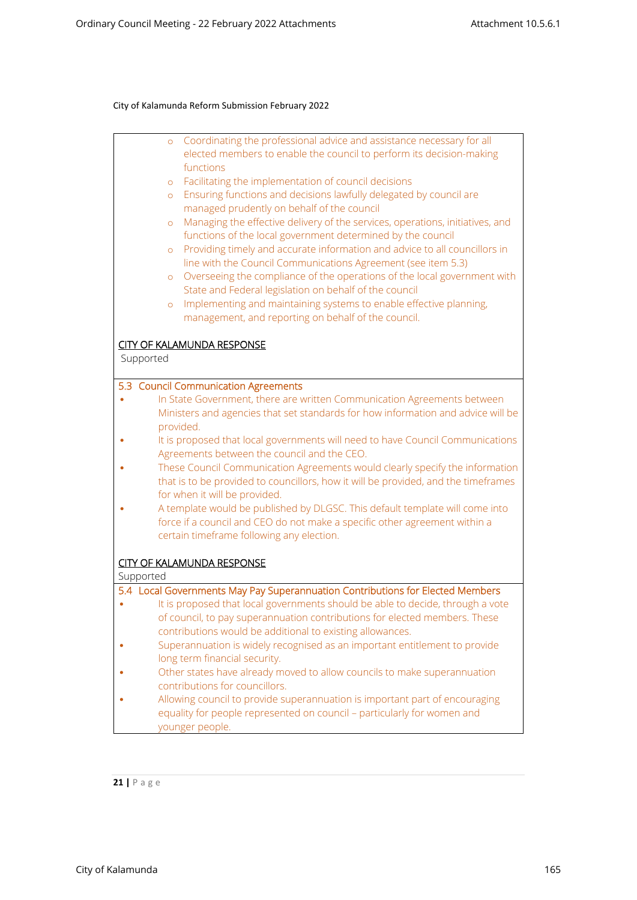|           | Coordinating the professional advice and assistance necessary for all<br>$\circ$         |
|-----------|------------------------------------------------------------------------------------------|
|           | elected members to enable the council to perform its decision-making                     |
|           | functions<br>Facilitating the implementation of council decisions                        |
|           | $\circ$<br>Ensuring functions and decisions lawfully delegated by council are<br>$\circ$ |
|           | managed prudently on behalf of the council                                               |
|           | Managing the effective delivery of the services, operations, initiatives, and<br>$\circ$ |
|           | functions of the local government determined by the council                              |
|           | Providing timely and accurate information and advice to all councillors in<br>$\circ$    |
|           | line with the Council Communications Agreement (see item 5.3)                            |
|           | Overseeing the compliance of the operations of the local government with<br>$\circ$      |
|           | State and Federal legislation on behalf of the council                                   |
|           | Implementing and maintaining systems to enable effective planning,<br>$\circ$            |
|           | management, and reporting on behalf of the council.                                      |
|           |                                                                                          |
|           | <b>CITY OF KALAMUNDA RESPONSE</b>                                                        |
| Supported |                                                                                          |
|           | 5.3 Council Communication Agreements                                                     |
|           | In State Government, there are written Communication Agreements between                  |
|           | Ministers and agencies that set standards for how information and advice will be         |
|           | provided.                                                                                |
|           | It is proposed that local governments will need to have Council Communications           |
|           | Agreements between the council and the CEO.                                              |
|           | These Council Communication Agreements would clearly specify the information             |
|           | that is to be provided to councillors, how it will be provided, and the timeframes       |
|           | for when it will be provided.                                                            |
|           | A template would be published by DLGSC. This default template will come into             |
|           | force if a council and CEO do not make a specific other agreement within a               |
|           | certain timeframe following any election.                                                |
|           |                                                                                          |
|           | <b>CITY OF KALAMUNDA RESPONSE</b>                                                        |
| Supported |                                                                                          |
|           | 5.4 Local Governments May Pay Superannuation Contributions for Elected Members           |
|           | It is proposed that local governments should be able to decide, through a vote           |
|           | of council, to pay superannuation contributions for elected members. These               |
|           | contributions would be additional to existing allowances.                                |
|           | Superannuation is widely recognised as an important entitlement to provide               |
|           | long term financial security.                                                            |
|           | Other states have already moved to allow councils to make superannuation                 |
|           | contributions for councillors.                                                           |
|           | Allowing council to provide superannuation is important part of encouraging              |
|           | equality for people represented on council - particularly for women and                  |
|           | younger people.                                                                          |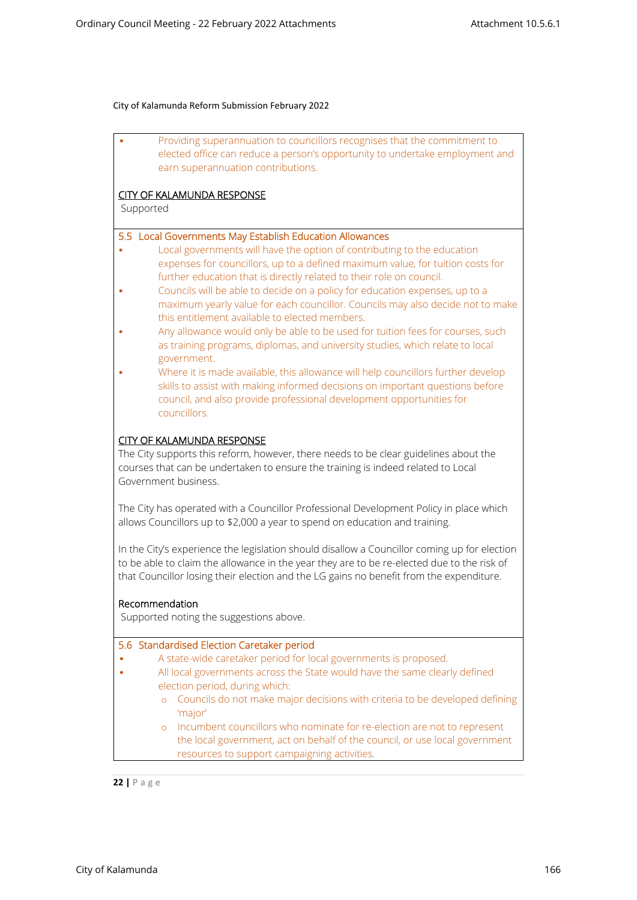|                      | Providing superannuation to councillors recognises that the commitment to<br>elected office can reduce a person's opportunity to undertake employment and                                                                                                                             |
|----------------------|---------------------------------------------------------------------------------------------------------------------------------------------------------------------------------------------------------------------------------------------------------------------------------------|
|                      | earn superannuation contributions.                                                                                                                                                                                                                                                    |
|                      | <b>CITY OF KALAMUNDA RESPONSE</b>                                                                                                                                                                                                                                                     |
| Supported            |                                                                                                                                                                                                                                                                                       |
|                      | 5.5 Local Governments May Establish Education Allowances                                                                                                                                                                                                                              |
|                      | Local governments will have the option of contributing to the education<br>expenses for councillors, up to a defined maximum value, for tuition costs for<br>further education that is directly related to their role on council.                                                     |
|                      | Councils will be able to decide on a policy for education expenses, up to a<br>maximum yearly value for each councillor. Councils may also decide not to make<br>this entitlement available to elected members.                                                                       |
|                      | Any allowance would only be able to be used for tuition fees for courses, such<br>as training programs, diplomas, and university studies, which relate to local<br>government.                                                                                                        |
|                      | Where it is made available, this allowance will help councillors further develop<br>skills to assist with making informed decisions on important questions before<br>council, and also provide professional development opportunities for<br>councillors.                             |
| Government business. | <b>CITY OF KALAMUNDA RESPONSE</b><br>The City supports this reform, however, there needs to be clear guidelines about the<br>courses that can be undertaken to ensure the training is indeed related to Local                                                                         |
|                      | The City has operated with a Councillor Professional Development Policy in place which<br>allows Councillors up to \$2,000 a year to spend on education and training.                                                                                                                 |
|                      | In the City's experience the legislation should disallow a Councillor coming up for election<br>to be able to claim the allowance in the year they are to be re-elected due to the risk of<br>that Councillor losing their election and the LG gains no benefit from the expenditure. |
| Recommendation       | Supported noting the suggestions above.                                                                                                                                                                                                                                               |
|                      | 5.6 Standardised Election Caretaker period                                                                                                                                                                                                                                            |
|                      | A state-wide caretaker period for local governments is proposed.                                                                                                                                                                                                                      |
|                      | All local governments across the State would have the same clearly defined<br>election period, during which:                                                                                                                                                                          |
| $\circ$              | Councils do not make major decisions with criteria to be developed defining<br>'major'                                                                                                                                                                                                |
| $\circ$              | Incumbent councillors who nominate for re-election are not to represent<br>the local government, act on behalf of the council, or use local government<br>resources to support campaigning activities.                                                                                |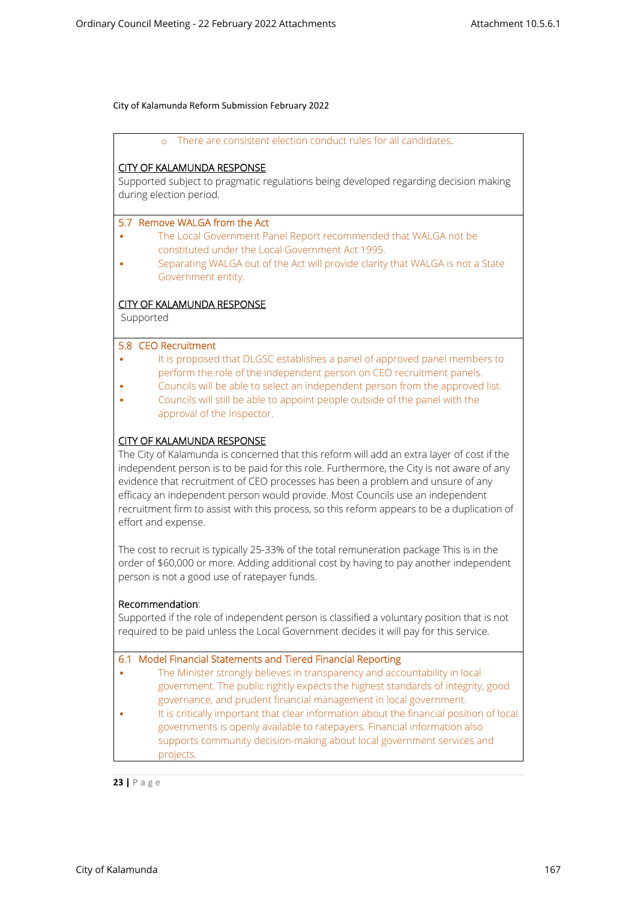|  |  | There are consistent election conduct rules for all candidates |  |
|--|--|----------------------------------------------------------------|--|
|--|--|----------------------------------------------------------------|--|

## **CITY OF KALAMUNDA RESPONSE**

Supported subject to pragmatic regulations being developed regarding decision making during election period.

#### **5.7 Remove WALGA from the Act**

- The Local Government Panel Report recommended that WALGA not be constituted under the Local Government Act 1995.
- Separating WALGA out of the Act will provide clarity that WALGA is not a State Government entity.

## **CITY OF KALAMUNDA RESPONSE**

Supported

## **5.8 CEO Recruitment**

- It is proposed that DLGSC establishes a panel of approved panel members to perform the role of the independent person on CEO recruitment panels.
- Councils will be able to select an independent person from the approved list.
- Councils will still be able to appoint people outside of the panel with the approval of the Inspector.

## **CITY OF KALAMUNDA RESPONSE**

The City of Kalamunda is concerned that this reform will add an extra layer of cost if the independent person is to be paid for this role. Furthermore, the City is not aware of any evidence that recruitment of CEO processes has been a problem and unsure of any efficacy an independent person would provide. Most Councils use an independent recruitment firm to assist with this process, so this reform appears to be a duplication of effort and expense.

The cost to recruit is typically 25-33% of the total remuneration package This is in the order of \$60,000 or more. Adding additional cost by having to pay another independent person is not a good use of ratepayer funds.

#### **Recommendation**:

Supported if the role of independent person is classified a voluntary position that is not required to be paid unless the Local Government decides it will pay for this service.

#### **6.1 Model Financial Statements and Tiered Financial Reporting**

- The Minister strongly believes in transparency and accountability in local government. The public rightly expects the highest standards of integrity, good governance, and prudent financial management in local government.
- It is critically important that clear information about the financial position of local governments is openly available to ratepayers. Financial information also supports community decision-making about local government services and projects.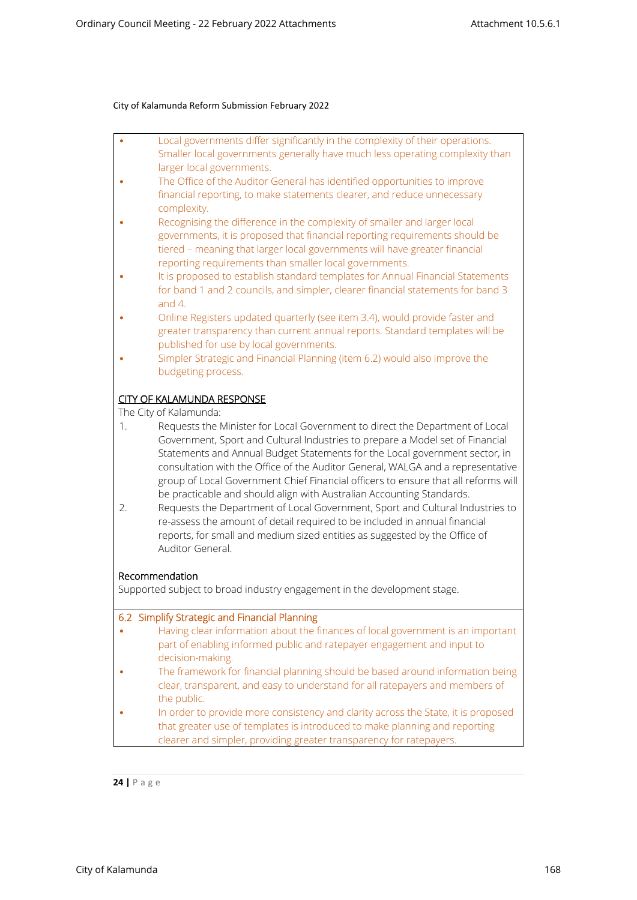| $\bullet$ | Local governments differ significantly in the complexity of their operations. |
|-----------|-------------------------------------------------------------------------------|
|           | Smaller local governments generally have much less operating complexity than  |
|           | larger local governments.                                                     |

- The Office of the Auditor General has identified opportunities to improve financial reporting, to make statements clearer, and reduce unnecessary complexity.
- Recognising the difference in the complexity of smaller and larger local governments, it is proposed that financial reporting requirements should be tiered – meaning that larger local governments will have greater financial reporting requirements than smaller local governments.
- It is proposed to establish standard templates for Annual Financial Statements for band 1 and 2 councils, and simpler, clearer financial statements for band 3 and 4.
- Online Registers updated quarterly (see item 3.4), would provide faster and greater transparency than current annual reports. Standard templates will be published for use by local governments.
- Simpler Strategic and Financial Planning (item 6.2) would also improve the budgeting process.

## **CITY OF KALAMUNDA RESPONSE**

The City of Kalamunda:

- 1. Requests the Minister for Local Government to direct the Department of Local Government, Sport and Cultural Industries to prepare a Model set of Financial Statements and Annual Budget Statements for the Local government sector, in consultation with the Office of the Auditor General, WALGA and a representative group of Local Government Chief Financial officers to ensure that all reforms will be practicable and should align with Australian Accounting Standards.
- 2. Requests the Department of Local Government, Sport and Cultural Industries to re-assess the amount of detail required to be included in annual financial reports, for small and medium sized entities as suggested by the Office of Auditor General.

## **Recommendation**

Supported subject to broad industry engagement in the development stage.

## **6.2 Simplify Strategic and Financial Planning**

| $\bullet$ | Having clear information about the finances of local government is an important<br>part of enabling informed public and ratepayer engagement and input to                                                                              |
|-----------|----------------------------------------------------------------------------------------------------------------------------------------------------------------------------------------------------------------------------------------|
|           | decision-making.                                                                                                                                                                                                                       |
|           | The framework for financial planning should be based around information being<br>clear, transparent, and easy to understand for all ratepayers and members of<br>the public.                                                           |
|           | In order to provide more consistency and clarity across the State, it is proposed<br>that greater use of templates is introduced to make planning and reporting<br>clearer and simpler, providing greater transparency for ratepayers. |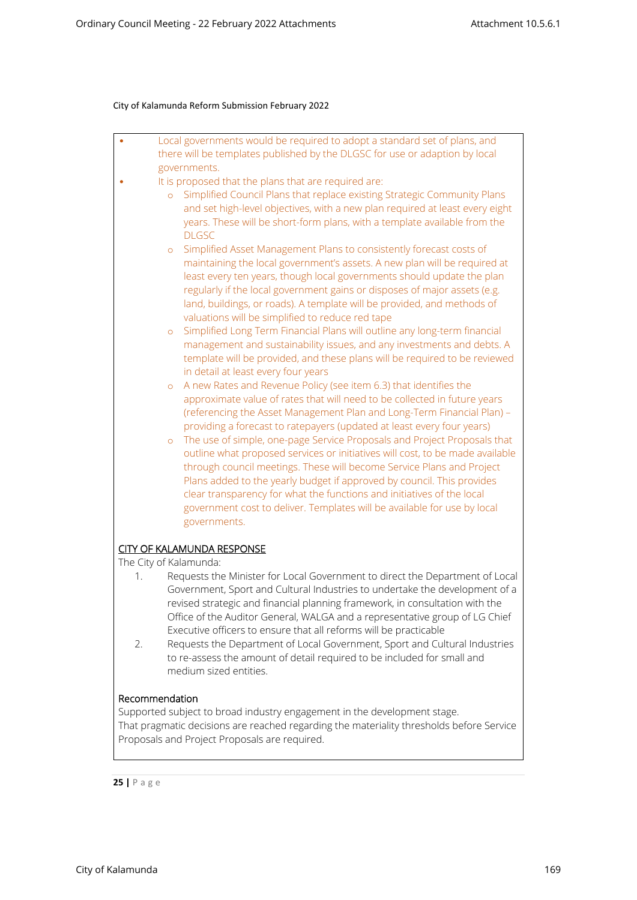| Local governments would be required to adopt a standard set of plans, and<br>۰       |
|--------------------------------------------------------------------------------------|
| there will be templates published by the DLGSC for use or adaption by local          |
| governments.                                                                         |
| It is proposed that the plans that are required are:                                 |
| Simplified Council Plans that replace existing Strategic Community Plans<br>$\circ$  |
| and set high-level objectives, with a new plan required at least every eight         |
| years. These will be short-form plans, with a template available from the            |
| <b>DLGSC</b>                                                                         |
| Simplified Asset Management Plans to consistently forecast costs of<br>$\circ$       |
| maintaining the local government's assets. A new plan will be required at            |
| least every ten years, though local governments should update the plan               |
| regularly if the local government gains or disposes of major assets (e.g.            |
| land, buildings, or roads). A template will be provided, and methods of              |
| valuations will be simplified to reduce red tape                                     |
| Simplified Long Term Financial Plans will outline any long-term financial<br>$\circ$ |
| management and sustainability issues, and any investments and debts. A               |
| template will be provided, and these plans will be required to be reviewed           |
| in detail at least every four years                                                  |
| A new Rates and Revenue Policy (see item 6.3) that identifies the<br>$\circ$         |
| approximate value of rates that will need to be collected in future years            |
| (referencing the Asset Management Plan and Long-Term Financial Plan) -               |
| providing a forecast to ratepayers (updated at least every four years)               |
| The use of simple, one-page Service Proposals and Project Proposals that<br>$\circ$  |
| outline what proposed services or initiatives will cost, to be made available        |
| through council meetings. These will become Service Plans and Project                |
| Plans added to the yearly budget if approved by council. This provides               |
| clear transparency for what the functions and initiatives of the local               |
| government cost to deliver. Templates will be available for use by local             |
| governments.                                                                         |
| <b>CITY OF KALAMUNDA RESPONSE</b>                                                    |
| The City of Kalamunda:                                                               |
| Requests the Minister for Local Government to direct the Department of Local<br>1.   |
| Government, Sport and Cultural Industries to undertake the development of a          |
| revised strategic and financial planning framework, in consultation with the         |
| Office of the Auditor General, WALGA and a representative group of LG Chief          |
| Executive officers to ensure that all reforms will be practicable                    |
| 2.<br>Requests the Department of Local Government, Sport and Cultural Industries     |
| to re-assess the amount of detail required to be included for small and              |
| medium sized entities.                                                               |
|                                                                                      |

## **Recommendation**

Supported subject to broad industry engagement in the development stage. That pragmatic decisions are reached regarding the materiality thresholds before Service Proposals and Project Proposals are required.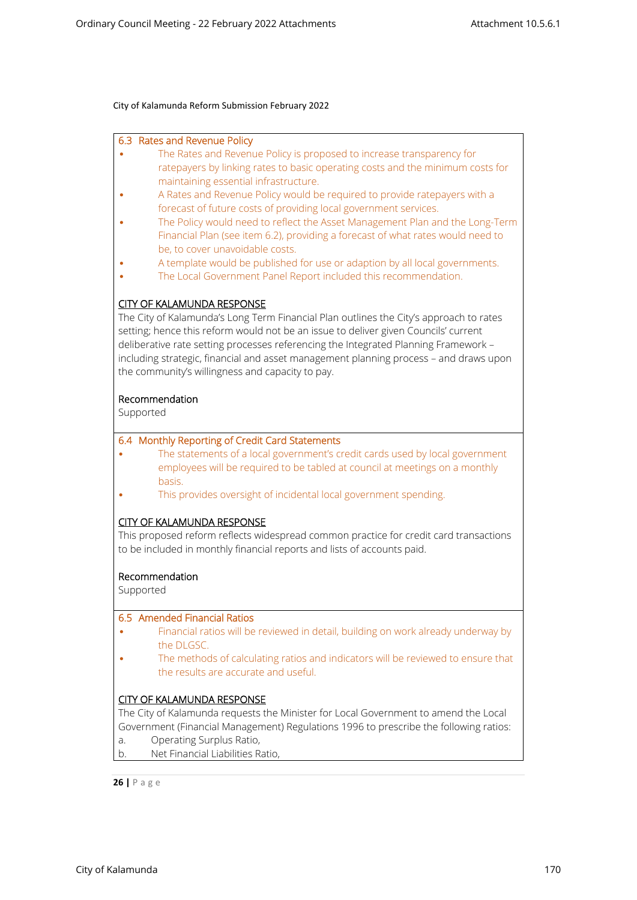| 6.3 Rates and Revenue Policy<br>The Rates and Revenue Policy is proposed to increase transparency for<br>ratepayers by linking rates to basic operating costs and the minimum costs for<br>maintaining essential infrastructure.<br>A Rates and Revenue Policy would be required to provide ratepayers with a                                                                                                                                          |
|--------------------------------------------------------------------------------------------------------------------------------------------------------------------------------------------------------------------------------------------------------------------------------------------------------------------------------------------------------------------------------------------------------------------------------------------------------|
| forecast of future costs of providing local government services.<br>The Policy would need to reflect the Asset Management Plan and the Long-Term<br>Financial Plan (see item 6.2), providing a forecast of what rates would need to<br>be, to cover unavoidable costs.                                                                                                                                                                                 |
| A template would be published for use or adaption by all local governments.<br>The Local Government Panel Report included this recommendation.                                                                                                                                                                                                                                                                                                         |
| <b>CITY OF KALAMUNDA RESPONSE</b><br>The City of Kalamunda's Long Term Financial Plan outlines the City's approach to rates<br>setting; hence this reform would not be an issue to deliver given Councils' current<br>deliberative rate setting processes referencing the Integrated Planning Framework -<br>including strategic, financial and asset management planning process - and draws upon<br>the community's willingness and capacity to pay. |
| Recommendation<br>Supported                                                                                                                                                                                                                                                                                                                                                                                                                            |
| 6.4 Monthly Reporting of Credit Card Statements<br>The statements of a local government's credit cards used by local government<br>employees will be required to be tabled at council at meetings on a monthly<br>basis.<br>This provides oversight of incidental local government spending.                                                                                                                                                           |
| <b>CITY OF KALAMUNDA RESPONSE</b><br>This proposed reform reflects widespread common practice for credit card transactions<br>to be included in monthly financial reports and lists of accounts paid.                                                                                                                                                                                                                                                  |
| Recommendation<br>Supported                                                                                                                                                                                                                                                                                                                                                                                                                            |
| 6.5 Amended Financial Ratios<br>Financial ratios will be reviewed in detail, building on work already underway by<br>the DLGSC.                                                                                                                                                                                                                                                                                                                        |
| The methods of calculating ratios and indicators will be reviewed to ensure that<br>the results are accurate and useful.                                                                                                                                                                                                                                                                                                                               |
| <b>CITY OF KALAMUNDA RESPONSE</b><br>The City of Kalamunda requests the Minister for Local Government to amend the Local<br>Government (Financial Management) Regulations 1996 to prescribe the following ratios:<br>Operating Surplus Ratio,<br>a.                                                                                                                                                                                                    |

b. Net Financial Liabilities Ratio,

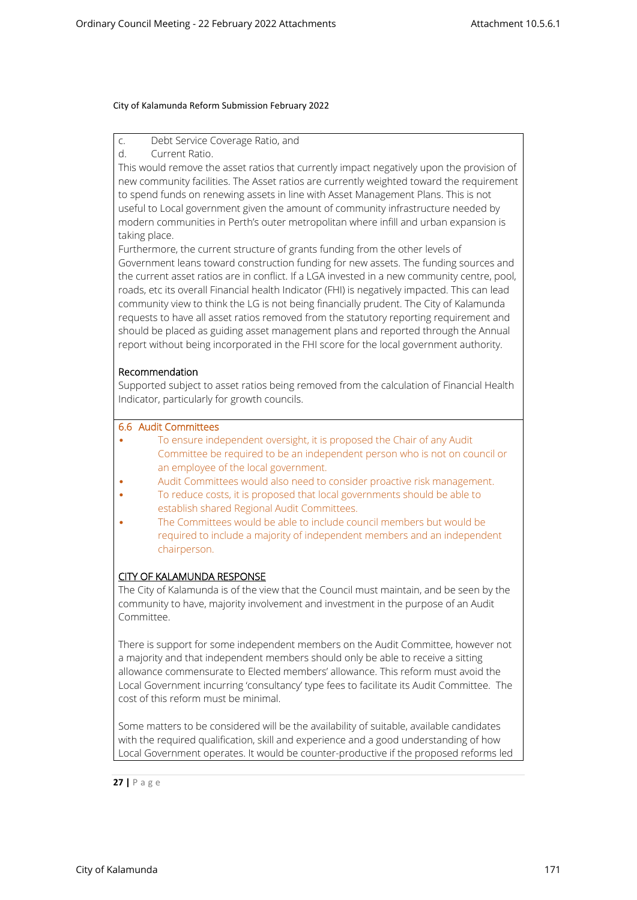c. Debt Service Coverage Ratio, and

d. Current Ratio.

This would remove the asset ratios that currently impact negatively upon the provision of new community facilities. The Asset ratios are currently weighted toward the requirement to spend funds on renewing assets in line with Asset Management Plans. This is not useful to Local government given the amount of community infrastructure needed by modern communities in Perth's outer metropolitan where infill and urban expansion is taking place.

Furthermore, the current structure of grants funding from the other levels of Government leans toward construction funding for new assets. The funding sources and the current asset ratios are in conflict. If a LGA invested in a new community centre, pool, roads, etc its overall Financial health Indicator (FHI) is negatively impacted. This can lead community view to think the LG is not being financially prudent. The City of Kalamunda requests to have all asset ratios removed from the statutory reporting requirement and should be placed as guiding asset management plans and reported through the Annual report without being incorporated in the FHI score for the local government authority.

## **Recommendation**

Supported subject to asset ratios being removed from the calculation of Financial Health Indicator, particularly for growth councils.

## **6.6 Audit Committees**

- To ensure independent oversight, it is proposed the Chair of any Audit Committee be required to be an independent person who is not on council or an employee of the local government.
- Audit Committees would also need to consider proactive risk management.
- To reduce costs, it is proposed that local governments should be able to establish shared Regional Audit Committees.
- The Committees would be able to include council members but would be required to include a majority of independent members and an independent chairperson.

# **CITY OF KALAMUNDA RESPONSE**

The City of Kalamunda is of the view that the Council must maintain, and be seen by the community to have, majority involvement and investment in the purpose of an Audit Committee.

There is support for some independent members on the Audit Committee, however not a majority and that independent members should only be able to receive a sitting allowance commensurate to Elected members' allowance. This reform must avoid the Local Government incurring 'consultancy' type fees to facilitate its Audit Committee. The cost of this reform must be minimal.

Some matters to be considered will be the availability of suitable, available candidates with the required qualification, skill and experience and a good understanding of how Local Government operates. It would be counter-productive if the proposed reforms led

$$
27 \mid P \text{ a g e}
$$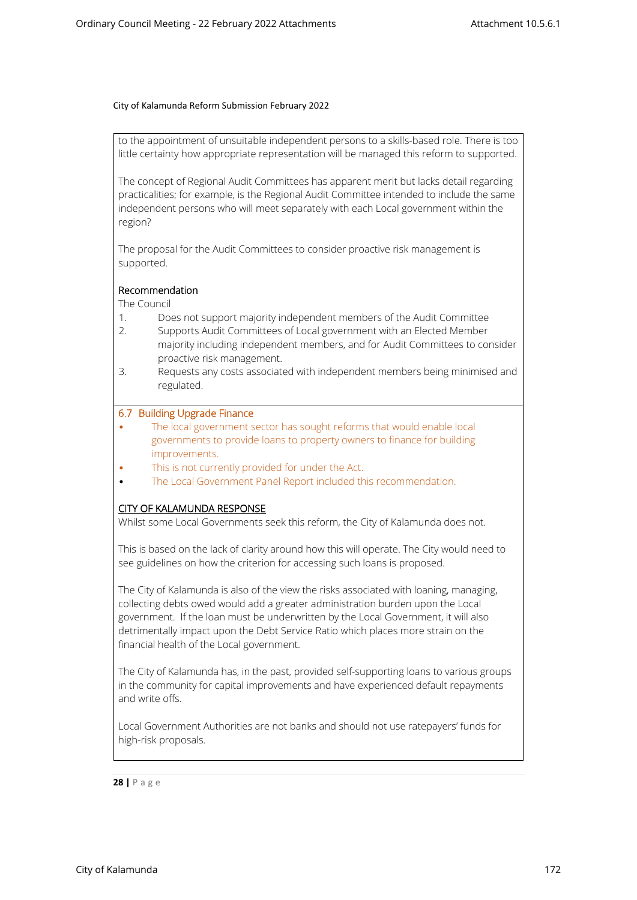to the appointment of unsuitable independent persons to a skills-based role. There is too little certainty how appropriate representation will be managed this reform to supported.

The concept of Regional Audit Committees has apparent merit but lacks detail regarding practicalities; for example, is the Regional Audit Committee intended to include the same independent persons who will meet separately with each Local government within the region?

The proposal for the Audit Committees to consider proactive risk management is supported.

## **Recommendation**

The Council

- 1. Does not support majority independent members of the Audit Committee
- 2. Supports Audit Committees of Local government with an Elected Member majority including independent members, and for Audit Committees to consider proactive risk management.
- 3. Requests any costs associated with independent members being minimised and regulated.

## **6.7 Building Upgrade Finance**

- The local government sector has sought reforms that would enable local governments to provide loans to property owners to finance for building improvements.
- This is not currently provided for under the Act.
- The Local Government Panel Report included this recommendation.

## **CITY OF KALAMUNDA RESPONSE**

Whilst some Local Governments seek this reform, the City of Kalamunda does not.

This is based on the lack of clarity around how this will operate. The City would need to see guidelines on how the criterion for accessing such loans is proposed.

The City of Kalamunda is also of the view the risks associated with loaning, managing, collecting debts owed would add a greater administration burden upon the Local government. If the loan must be underwritten by the Local Government, it will also detrimentally impact upon the Debt Service Ratio which places more strain on the financial health of the Local government.

The City of Kalamunda has, in the past, provided self-supporting loans to various groups in the community for capital improvements and have experienced default repayments and write offs.

Local Government Authorities are not banks and should not use ratepayers' funds for high-risk proposals.